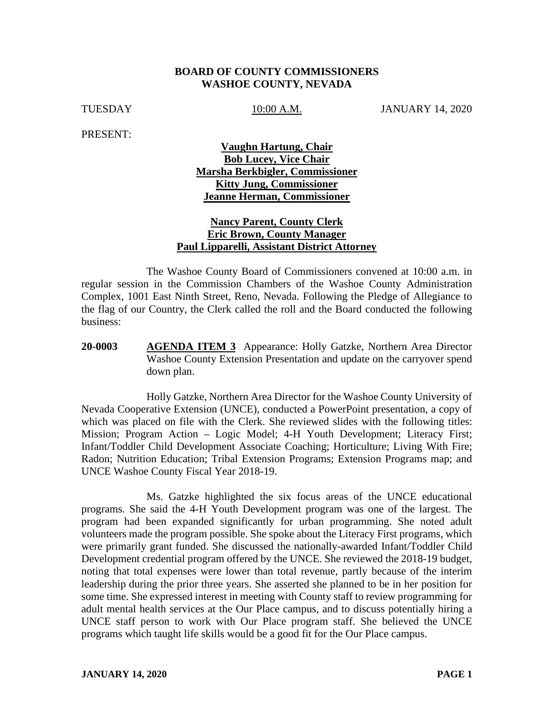#### **BOARD OF COUNTY COMMISSIONERS WASHOE COUNTY, NEVADA**

TUESDAY 10:00 A.M. JANUARY 14, 2020

PRESENT:

## **Vaughn Hartung, Chair Bob Lucey, Vice Chair Marsha Berkbigler, Commissioner Kitty Jung, Commissioner Jeanne Herman, Commissioner**

### **Nancy Parent, County Clerk Eric Brown, County Manager Paul Lipparelli, Assistant District Attorney**

The Washoe County Board of Commissioners convened at 10:00 a.m. in regular session in the Commission Chambers of the Washoe County Administration Complex, 1001 East Ninth Street, Reno, Nevada. Following the Pledge of Allegiance to the flag of our Country, the Clerk called the roll and the Board conducted the following business:

**20-0003 AGENDA ITEM 3** Appearance: Holly Gatzke, Northern Area Director Washoe County Extension Presentation and update on the carryover spend down plan.

Holly Gatzke, Northern Area Director for the Washoe County University of Nevada Cooperative Extension (UNCE), conducted a PowerPoint presentation, a copy of which was placed on file with the Clerk. She reviewed slides with the following titles: Mission; Program Action – Logic Model; 4-H Youth Development; Literacy First; Infant/Toddler Child Development Associate Coaching; Horticulture; Living With Fire; Radon; Nutrition Education; Tribal Extension Programs; Extension Programs map; and UNCE Washoe County Fiscal Year 2018-19.

Ms. Gatzke highlighted the six focus areas of the UNCE educational programs. She said the 4-H Youth Development program was one of the largest. The program had been expanded significantly for urban programming. She noted adult volunteers made the program possible. She spoke about the Literacy First programs, which were primarily grant funded. She discussed the nationally-awarded Infant/Toddler Child Development credential program offered by the UNCE. She reviewed the 2018-19 budget, noting that total expenses were lower than total revenue, partly because of the interim leadership during the prior three years. She asserted she planned to be in her position for some time. She expressed interest in meeting with County staff to review programming for adult mental health services at the Our Place campus, and to discuss potentially hiring a UNCE staff person to work with Our Place program staff. She believed the UNCE programs which taught life skills would be a good fit for the Our Place campus.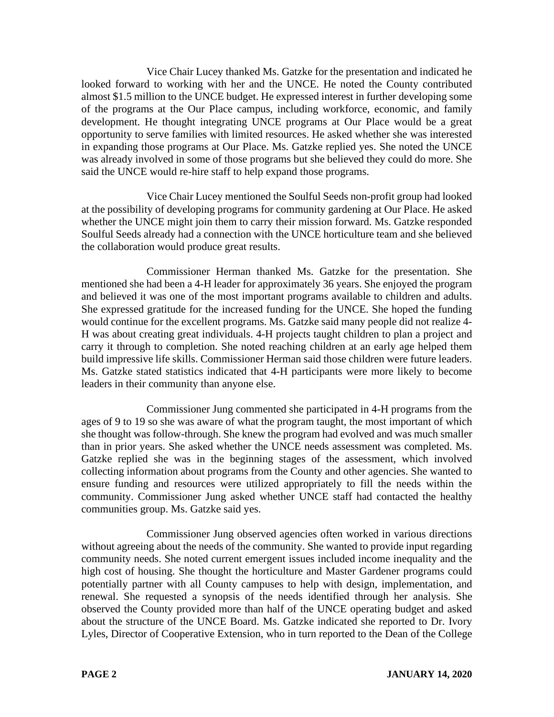Vice Chair Lucey thanked Ms. Gatzke for the presentation and indicated he looked forward to working with her and the UNCE. He noted the County contributed almost \$1.5 million to the UNCE budget. He expressed interest in further developing some of the programs at the Our Place campus, including workforce, economic, and family development. He thought integrating UNCE programs at Our Place would be a great opportunity to serve families with limited resources. He asked whether she was interested in expanding those programs at Our Place. Ms. Gatzke replied yes. She noted the UNCE was already involved in some of those programs but she believed they could do more. She said the UNCE would re-hire staff to help expand those programs.

Vice Chair Lucey mentioned the Soulful Seeds non-profit group had looked at the possibility of developing programs for community gardening at Our Place. He asked whether the UNCE might join them to carry their mission forward. Ms. Gatzke responded Soulful Seeds already had a connection with the UNCE horticulture team and she believed the collaboration would produce great results.

Commissioner Herman thanked Ms. Gatzke for the presentation. She mentioned she had been a 4-H leader for approximately 36 years. She enjoyed the program and believed it was one of the most important programs available to children and adults. She expressed gratitude for the increased funding for the UNCE. She hoped the funding would continue for the excellent programs. Ms. Gatzke said many people did not realize 4- H was about creating great individuals. 4-H projects taught children to plan a project and carry it through to completion. She noted reaching children at an early age helped them build impressive life skills. Commissioner Herman said those children were future leaders. Ms. Gatzke stated statistics indicated that 4-H participants were more likely to become leaders in their community than anyone else.

Commissioner Jung commented she participated in 4-H programs from the ages of 9 to 19 so she was aware of what the program taught, the most important of which she thought was follow-through. She knew the program had evolved and was much smaller than in prior years. She asked whether the UNCE needs assessment was completed. Ms. Gatzke replied she was in the beginning stages of the assessment, which involved collecting information about programs from the County and other agencies. She wanted to ensure funding and resources were utilized appropriately to fill the needs within the community. Commissioner Jung asked whether UNCE staff had contacted the healthy communities group. Ms. Gatzke said yes.

Commissioner Jung observed agencies often worked in various directions without agreeing about the needs of the community. She wanted to provide input regarding community needs. She noted current emergent issues included income inequality and the high cost of housing. She thought the horticulture and Master Gardener programs could potentially partner with all County campuses to help with design, implementation, and renewal. She requested a synopsis of the needs identified through her analysis. She observed the County provided more than half of the UNCE operating budget and asked about the structure of the UNCE Board. Ms. Gatzke indicated she reported to Dr. Ivory Lyles, Director of Cooperative Extension, who in turn reported to the Dean of the College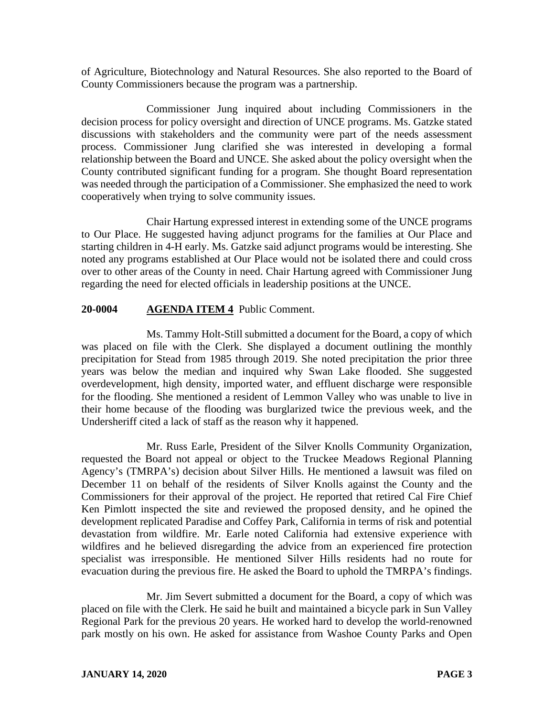of Agriculture, Biotechnology and Natural Resources. She also reported to the Board of County Commissioners because the program was a partnership.

Commissioner Jung inquired about including Commissioners in the decision process for policy oversight and direction of UNCE programs. Ms. Gatzke stated discussions with stakeholders and the community were part of the needs assessment process. Commissioner Jung clarified she was interested in developing a formal relationship between the Board and UNCE. She asked about the policy oversight when the County contributed significant funding for a program. She thought Board representation was needed through the participation of a Commissioner. She emphasized the need to work cooperatively when trying to solve community issues.

Chair Hartung expressed interest in extending some of the UNCE programs to Our Place. He suggested having adjunct programs for the families at Our Place and starting children in 4-H early. Ms. Gatzke said adjunct programs would be interesting. She noted any programs established at Our Place would not be isolated there and could cross over to other areas of the County in need. Chair Hartung agreed with Commissioner Jung regarding the need for elected officials in leadership positions at the UNCE.

# **20-0004 AGENDA ITEM 4** Public Comment.

Ms. Tammy Holt-Still submitted a document for the Board, a copy of which was placed on file with the Clerk. She displayed a document outlining the monthly precipitation for Stead from 1985 through 2019. She noted precipitation the prior three years was below the median and inquired why Swan Lake flooded. She suggested overdevelopment, high density, imported water, and effluent discharge were responsible for the flooding. She mentioned a resident of Lemmon Valley who was unable to live in their home because of the flooding was burglarized twice the previous week, and the Undersheriff cited a lack of staff as the reason why it happened.

Mr. Russ Earle, President of the Silver Knolls Community Organization, requested the Board not appeal or object to the Truckee Meadows Regional Planning Agency's (TMRPA's) decision about Silver Hills. He mentioned a lawsuit was filed on December 11 on behalf of the residents of Silver Knolls against the County and the Commissioners for their approval of the project. He reported that retired Cal Fire Chief Ken Pimlott inspected the site and reviewed the proposed density, and he opined the development replicated Paradise and Coffey Park, California in terms of risk and potential devastation from wildfire. Mr. Earle noted California had extensive experience with wildfires and he believed disregarding the advice from an experienced fire protection specialist was irresponsible. He mentioned Silver Hills residents had no route for evacuation during the previous fire. He asked the Board to uphold the TMRPA's findings.

Mr. Jim Severt submitted a document for the Board, a copy of which was placed on file with the Clerk. He said he built and maintained a bicycle park in Sun Valley Regional Park for the previous 20 years. He worked hard to develop the world-renowned park mostly on his own. He asked for assistance from Washoe County Parks and Open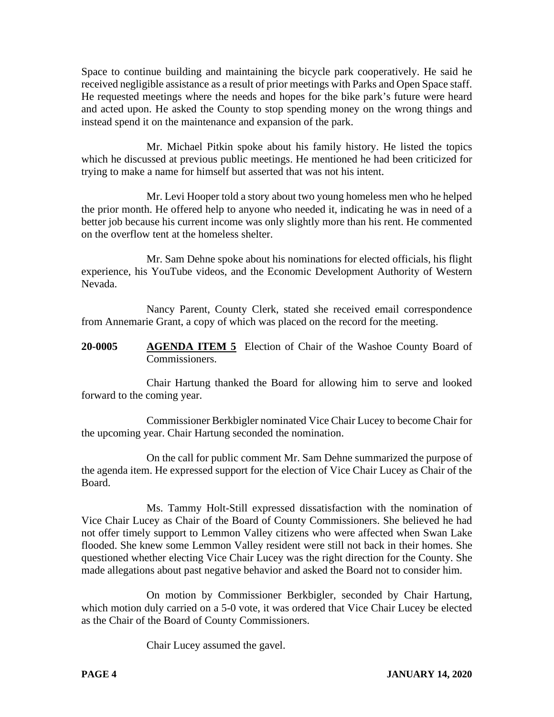Space to continue building and maintaining the bicycle park cooperatively. He said he received negligible assistance as a result of prior meetings with Parks and Open Space staff. He requested meetings where the needs and hopes for the bike park's future were heard and acted upon. He asked the County to stop spending money on the wrong things and instead spend it on the maintenance and expansion of the park.

Mr. Michael Pitkin spoke about his family history. He listed the topics which he discussed at previous public meetings. He mentioned he had been criticized for trying to make a name for himself but asserted that was not his intent.

Mr. Levi Hooper told a story about two young homeless men who he helped the prior month. He offered help to anyone who needed it, indicating he was in need of a better job because his current income was only slightly more than his rent. He commented on the overflow tent at the homeless shelter.

Mr. Sam Dehne spoke about his nominations for elected officials, his flight experience, his YouTube videos, and the Economic Development Authority of Western Nevada.

Nancy Parent, County Clerk, stated she received email correspondence from Annemarie Grant, a copy of which was placed on the record for the meeting.

**20-0005 AGENDA ITEM 5** Election of Chair of the Washoe County Board of Commissioners.

Chair Hartung thanked the Board for allowing him to serve and looked forward to the coming year.

Commissioner Berkbigler nominated Vice Chair Lucey to become Chair for the upcoming year. Chair Hartung seconded the nomination.

On the call for public comment Mr. Sam Dehne summarized the purpose of the agenda item. He expressed support for the election of Vice Chair Lucey as Chair of the Board.

Ms. Tammy Holt-Still expressed dissatisfaction with the nomination of Vice Chair Lucey as Chair of the Board of County Commissioners. She believed he had not offer timely support to Lemmon Valley citizens who were affected when Swan Lake flooded. She knew some Lemmon Valley resident were still not back in their homes. She questioned whether electing Vice Chair Lucey was the right direction for the County. She made allegations about past negative behavior and asked the Board not to consider him.

On motion by Commissioner Berkbigler, seconded by Chair Hartung, which motion duly carried on a 5-0 vote, it was ordered that Vice Chair Lucey be elected as the Chair of the Board of County Commissioners.

Chair Lucey assumed the gavel.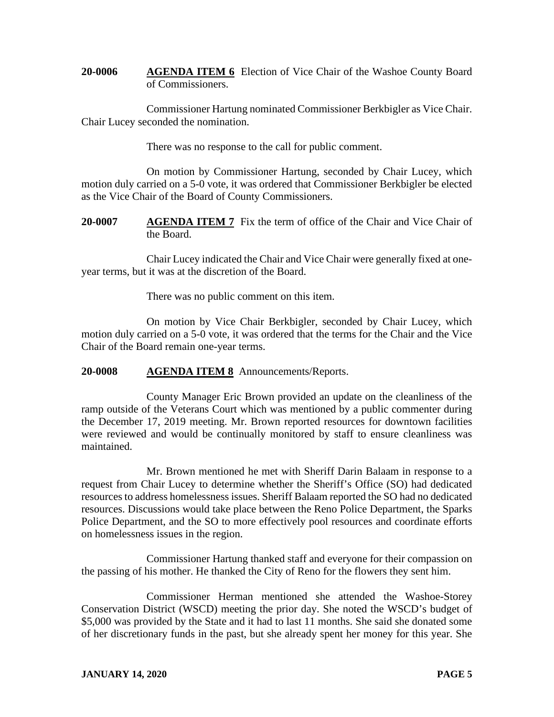**20-0006 AGENDA ITEM 6** Election of Vice Chair of the Washoe County Board of Commissioners.

Commissioner Hartung nominated Commissioner Berkbigler as Vice Chair. Chair Lucey seconded the nomination.

There was no response to the call for public comment.

On motion by Commissioner Hartung, seconded by Chair Lucey, which motion duly carried on a 5-0 vote, it was ordered that Commissioner Berkbigler be elected as the Vice Chair of the Board of County Commissioners.

**20-0007 AGENDA ITEM 7** Fix the term of office of the Chair and Vice Chair of the Board.

Chair Lucey indicated the Chair and Vice Chair were generally fixed at oneyear terms, but it was at the discretion of the Board.

There was no public comment on this item.

On motion by Vice Chair Berkbigler, seconded by Chair Lucey, which motion duly carried on a 5-0 vote, it was ordered that the terms for the Chair and the Vice Chair of the Board remain one-year terms.

**20-0008 AGENDA ITEM 8** Announcements/Reports.

County Manager Eric Brown provided an update on the cleanliness of the ramp outside of the Veterans Court which was mentioned by a public commenter during the December 17, 2019 meeting. Mr. Brown reported resources for downtown facilities were reviewed and would be continually monitored by staff to ensure cleanliness was maintained.

Mr. Brown mentioned he met with Sheriff Darin Balaam in response to a request from Chair Lucey to determine whether the Sheriff's Office (SO) had dedicated resources to address homelessness issues. Sheriff Balaam reported the SO had no dedicated resources. Discussions would take place between the Reno Police Department, the Sparks Police Department, and the SO to more effectively pool resources and coordinate efforts on homelessness issues in the region.

Commissioner Hartung thanked staff and everyone for their compassion on the passing of his mother. He thanked the City of Reno for the flowers they sent him.

Commissioner Herman mentioned she attended the Washoe-Storey Conservation District (WSCD) meeting the prior day. She noted the WSCD's budget of \$5,000 was provided by the State and it had to last 11 months. She said she donated some of her discretionary funds in the past, but she already spent her money for this year. She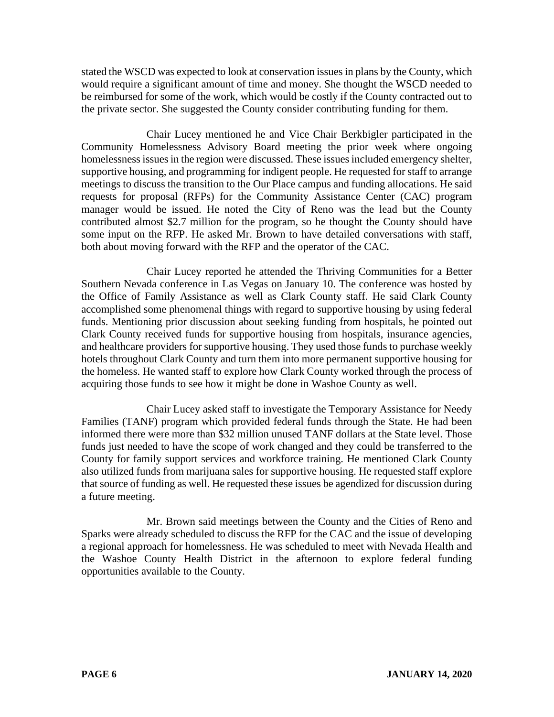stated the WSCD was expected to look at conservation issues in plans by the County, which would require a significant amount of time and money. She thought the WSCD needed to be reimbursed for some of the work, which would be costly if the County contracted out to the private sector. She suggested the County consider contributing funding for them.

Chair Lucey mentioned he and Vice Chair Berkbigler participated in the Community Homelessness Advisory Board meeting the prior week where ongoing homelessness issues in the region were discussed. These issues included emergency shelter, supportive housing, and programming for indigent people. He requested for staff to arrange meetings to discuss the transition to the Our Place campus and funding allocations. He said requests for proposal (RFPs) for the Community Assistance Center (CAC) program manager would be issued. He noted the City of Reno was the lead but the County contributed almost \$2.7 million for the program, so he thought the County should have some input on the RFP. He asked Mr. Brown to have detailed conversations with staff, both about moving forward with the RFP and the operator of the CAC.

Chair Lucey reported he attended the Thriving Communities for a Better Southern Nevada conference in Las Vegas on January 10. The conference was hosted by the Office of Family Assistance as well as Clark County staff. He said Clark County accomplished some phenomenal things with regard to supportive housing by using federal funds. Mentioning prior discussion about seeking funding from hospitals, he pointed out Clark County received funds for supportive housing from hospitals, insurance agencies, and healthcare providers for supportive housing. They used those funds to purchase weekly hotels throughout Clark County and turn them into more permanent supportive housing for the homeless. He wanted staff to explore how Clark County worked through the process of acquiring those funds to see how it might be done in Washoe County as well.

Chair Lucey asked staff to investigate the Temporary Assistance for Needy Families (TANF) program which provided federal funds through the State. He had been informed there were more than \$32 million unused TANF dollars at the State level. Those funds just needed to have the scope of work changed and they could be transferred to the County for family support services and workforce training. He mentioned Clark County also utilized funds from marijuana sales for supportive housing. He requested staff explore that source of funding as well. He requested these issues be agendized for discussion during a future meeting.

Mr. Brown said meetings between the County and the Cities of Reno and Sparks were already scheduled to discuss the RFP for the CAC and the issue of developing a regional approach for homelessness. He was scheduled to meet with Nevada Health and the Washoe County Health District in the afternoon to explore federal funding opportunities available to the County.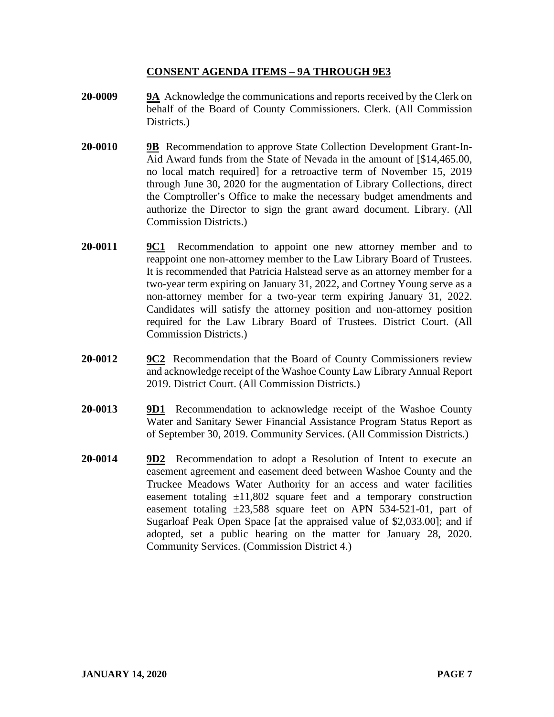### **CONSENT AGENDA ITEMS** – **9A THROUGH 9E3**

- **20-0009 9A** Acknowledge the communications and reports received by the Clerk on behalf of the Board of County Commissioners. Clerk. (All Commission Districts.
- **20-0010 9B** Recommendation to approve State Collection Development Grant-In-Aid Award funds from the State of Nevada in the amount of [\$14,465.00, no local match required] for a retroactive term of November 15, 2019 through June 30, 2020 for the augmentation of Library Collections, direct the Comptroller's Office to make the necessary budget amendments and authorize the Director to sign the grant award document. Library. (All Commission Districts.)
- **20-0011 9C1** Recommendation to appoint one new attorney member and to reappoint one non-attorney member to the Law Library Board of Trustees. It is recommended that Patricia Halstead serve as an attorney member for a two-year term expiring on January 31, 2022, and Cortney Young serve as a non-attorney member for a two-year term expiring January 31, 2022. Candidates will satisfy the attorney position and non-attorney position required for the Law Library Board of Trustees. District Court. (All Commission Districts.)
- **20-0012 9C2** Recommendation that the Board of County Commissioners review and acknowledge receipt of the Washoe County Law Library Annual Report 2019. District Court. (All Commission Districts.)
- **20-0013 9D1** Recommendation to acknowledge receipt of the Washoe County Water and Sanitary Sewer Financial Assistance Program Status Report as of September 30, 2019. Community Services. (All Commission Districts.)
- **20-0014 9D2** Recommendation to adopt a Resolution of Intent to execute an easement agreement and easement deed between Washoe County and the Truckee Meadows Water Authority for an access and water facilities easement totaling  $\pm 11,802$  square feet and a temporary construction easement totaling  $\pm 23,588$  square feet on APN 534-521-01, part of Sugarloaf Peak Open Space [at the appraised value of \$2,033.00]; and if adopted, set a public hearing on the matter for January 28, 2020. Community Services. (Commission District 4.)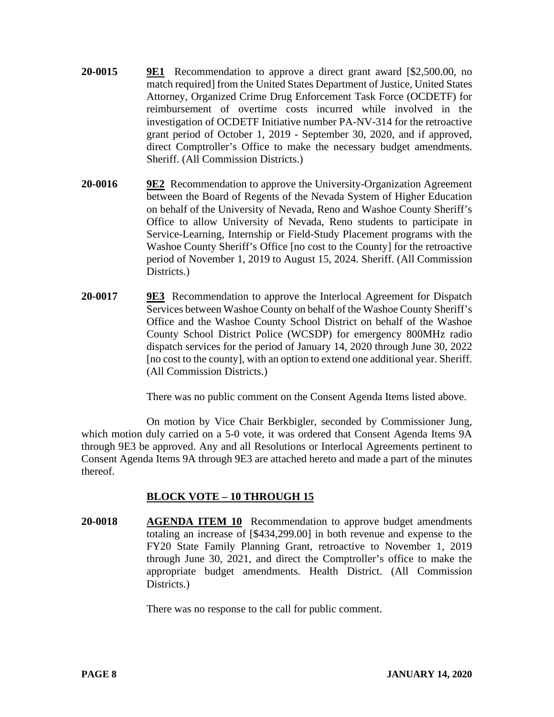- **20-0015 9E1** Recommendation to approve a direct grant award [\$2,500.00, no match required] from the United States Department of Justice, United States Attorney, Organized Crime Drug Enforcement Task Force (OCDETF) for reimbursement of overtime costs incurred while involved in the investigation of OCDETF Initiative number PA-NV-314 for the retroactive grant period of October 1, 2019 - September 30, 2020, and if approved, direct Comptroller's Office to make the necessary budget amendments. Sheriff. (All Commission Districts.)
- **20-0016 9E2** Recommendation to approve the University-Organization Agreement between the Board of Regents of the Nevada System of Higher Education on behalf of the University of Nevada, Reno and Washoe County Sheriff's Office to allow University of Nevada, Reno students to participate in Service-Learning, Internship or Field-Study Placement programs with the Washoe County Sheriff's Office [no cost to the County] for the retroactive period of November 1, 2019 to August 15, 2024. Sheriff. (All Commission Districts.
- **20-0017 9E3** Recommendation to approve the Interlocal Agreement for Dispatch Services between Washoe County on behalf of the Washoe County Sheriff's Office and the Washoe County School District on behalf of the Washoe County School District Police (WCSDP) for emergency 800MHz radio dispatch services for the period of January 14, 2020 through June 30, 2022 [no cost to the county], with an option to extend one additional year. Sheriff. (All Commission Districts.)

There was no public comment on the Consent Agenda Items listed above.

On motion by Vice Chair Berkbigler, seconded by Commissioner Jung, which motion duly carried on a 5-0 vote, it was ordered that Consent Agenda Items 9A through 9E3 be approved. Any and all Resolutions or Interlocal Agreements pertinent to Consent Agenda Items 9A through 9E3 are attached hereto and made a part of the minutes thereof.

# **BLOCK VOTE – 10 THROUGH 15**

**20-0018 AGENDA ITEM 10** Recommendation to approve budget amendments totaling an increase of [\$434,299.00] in both revenue and expense to the FY20 State Family Planning Grant, retroactive to November 1, 2019 through June 30, 2021, and direct the Comptroller's office to make the appropriate budget amendments. Health District. (All Commission Districts.

There was no response to the call for public comment.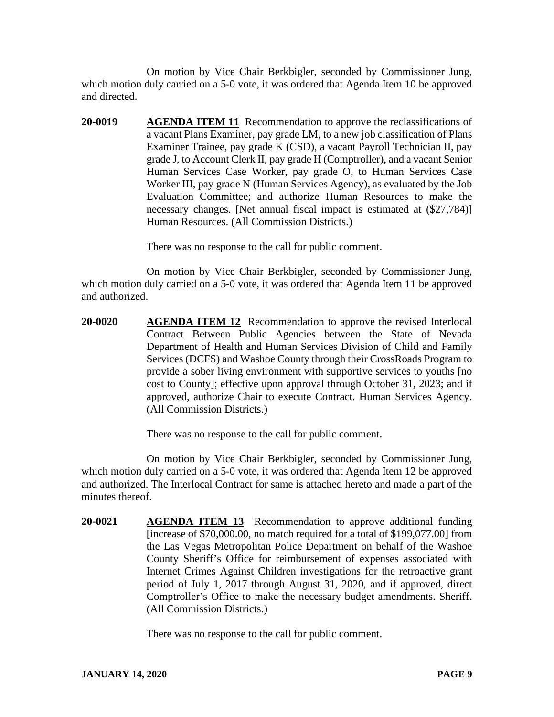On motion by Vice Chair Berkbigler, seconded by Commissioner Jung, which motion duly carried on a 5-0 vote, it was ordered that Agenda Item 10 be approved and directed.

**20-0019 AGENDA ITEM 11** Recommendation to approve the reclassifications of a vacant Plans Examiner, pay grade LM, to a new job classification of Plans Examiner Trainee, pay grade K (CSD), a vacant Payroll Technician II, pay grade J, to Account Clerk II, pay grade H (Comptroller), and a vacant Senior Human Services Case Worker, pay grade O, to Human Services Case Worker III, pay grade N (Human Services Agency), as evaluated by the Job Evaluation Committee; and authorize Human Resources to make the necessary changes. [Net annual fiscal impact is estimated at (\$27,784)] Human Resources. (All Commission Districts.)

There was no response to the call for public comment.

On motion by Vice Chair Berkbigler, seconded by Commissioner Jung, which motion duly carried on a 5-0 vote, it was ordered that Agenda Item 11 be approved and authorized.

**20-0020 AGENDA ITEM 12** Recommendation to approve the revised Interlocal Contract Between Public Agencies between the State of Nevada Department of Health and Human Services Division of Child and Family Services (DCFS) and Washoe County through their CrossRoads Program to provide a sober living environment with supportive services to youths [no cost to County]; effective upon approval through October 31, 2023; and if approved, authorize Chair to execute Contract. Human Services Agency. (All Commission Districts.)

There was no response to the call for public comment.

On motion by Vice Chair Berkbigler, seconded by Commissioner Jung, which motion duly carried on a 5-0 vote, it was ordered that Agenda Item 12 be approved and authorized. The Interlocal Contract for same is attached hereto and made a part of the minutes thereof.

**20-0021 AGENDA ITEM 13** Recommendation to approve additional funding [increase of \$70,000.00, no match required for a total of \$199,077.00] from the Las Vegas Metropolitan Police Department on behalf of the Washoe County Sheriff's Office for reimbursement of expenses associated with Internet Crimes Against Children investigations for the retroactive grant period of July 1, 2017 through August 31, 2020, and if approved, direct Comptroller's Office to make the necessary budget amendments. Sheriff. (All Commission Districts.)

There was no response to the call for public comment.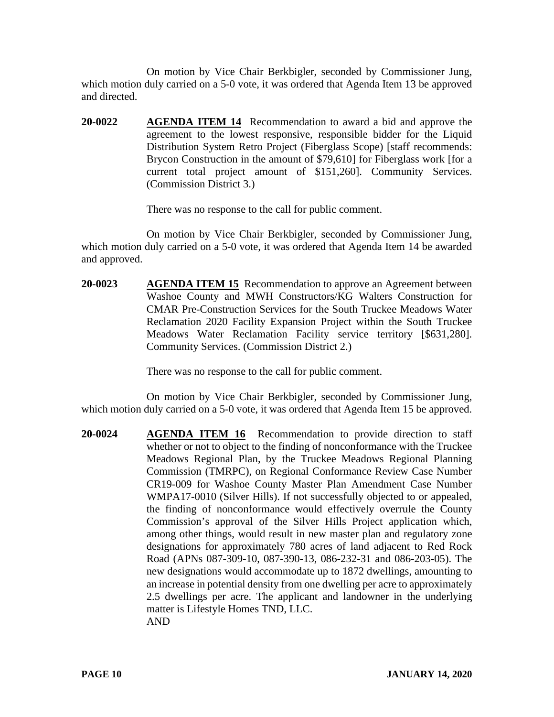On motion by Vice Chair Berkbigler, seconded by Commissioner Jung, which motion duly carried on a 5-0 vote, it was ordered that Agenda Item 13 be approved and directed.

**20-0022 AGENDA ITEM 14** Recommendation to award a bid and approve the agreement to the lowest responsive, responsible bidder for the Liquid Distribution System Retro Project (Fiberglass Scope) [staff recommends: Brycon Construction in the amount of \$79,610] for Fiberglass work [for a current total project amount of \$151,260]. Community Services. (Commission District 3.)

There was no response to the call for public comment.

On motion by Vice Chair Berkbigler, seconded by Commissioner Jung, which motion duly carried on a 5-0 vote, it was ordered that Agenda Item 14 be awarded and approved.

**20-0023 AGENDA ITEM 15** Recommendation to approve an Agreement between Washoe County and MWH Constructors/KG Walters Construction for CMAR Pre-Construction Services for the South Truckee Meadows Water Reclamation 2020 Facility Expansion Project within the South Truckee Meadows Water Reclamation Facility service territory [\$631,280]. Community Services. (Commission District 2.)

There was no response to the call for public comment.

On motion by Vice Chair Berkbigler, seconded by Commissioner Jung, which motion duly carried on a 5-0 vote, it was ordered that Agenda Item 15 be approved.

**20-0024 AGENDA ITEM 16** Recommendation to provide direction to staff whether or not to object to the finding of nonconformance with the Truckee Meadows Regional Plan, by the Truckee Meadows Regional Planning Commission (TMRPC), on Regional Conformance Review Case Number CR19-009 for Washoe County Master Plan Amendment Case Number WMPA17-0010 (Silver Hills). If not successfully objected to or appealed, the finding of nonconformance would effectively overrule the County Commission's approval of the Silver Hills Project application which, among other things, would result in new master plan and regulatory zone designations for approximately 780 acres of land adjacent to Red Rock Road (APNs 087-309-10, 087-390-13, 086-232-31 and 086-203-05). The new designations would accommodate up to 1872 dwellings, amounting to an increase in potential density from one dwelling per acre to approximately 2.5 dwellings per acre. The applicant and landowner in the underlying matter is Lifestyle Homes TND, LLC. AND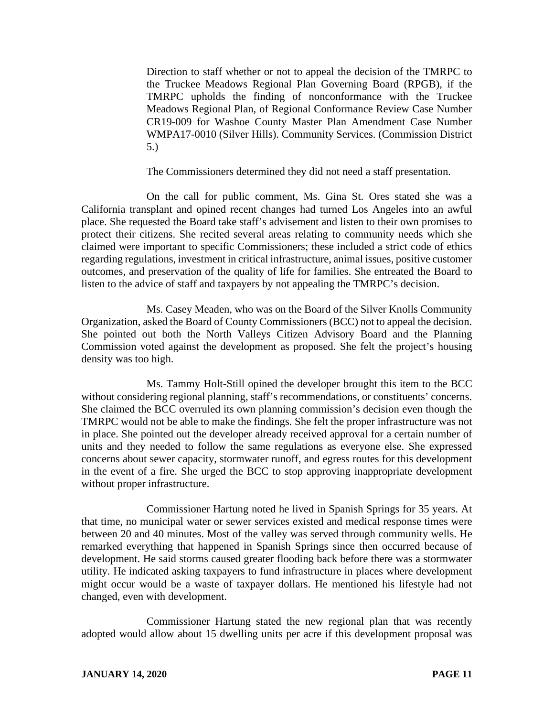Direction to staff whether or not to appeal the decision of the TMRPC to the Truckee Meadows Regional Plan Governing Board (RPGB), if the TMRPC upholds the finding of nonconformance with the Truckee Meadows Regional Plan, of Regional Conformance Review Case Number CR19-009 for Washoe County Master Plan Amendment Case Number WMPA17-0010 (Silver Hills). Community Services. (Commission District 5.)

The Commissioners determined they did not need a staff presentation.

On the call for public comment, Ms. Gina St. Ores stated she was a California transplant and opined recent changes had turned Los Angeles into an awful place. She requested the Board take staff's advisement and listen to their own promises to protect their citizens. She recited several areas relating to community needs which she claimed were important to specific Commissioners; these included a strict code of ethics regarding regulations, investment in critical infrastructure, animal issues, positive customer outcomes, and preservation of the quality of life for families. She entreated the Board to listen to the advice of staff and taxpayers by not appealing the TMRPC's decision.

Ms. Casey Meaden, who was on the Board of the Silver Knolls Community Organization, asked the Board of County Commissioners (BCC) not to appeal the decision. She pointed out both the North Valleys Citizen Advisory Board and the Planning Commission voted against the development as proposed. She felt the project's housing density was too high.

Ms. Tammy Holt-Still opined the developer brought this item to the BCC without considering regional planning, staff's recommendations, or constituents' concerns. She claimed the BCC overruled its own planning commission's decision even though the TMRPC would not be able to make the findings. She felt the proper infrastructure was not in place. She pointed out the developer already received approval for a certain number of units and they needed to follow the same regulations as everyone else. She expressed concerns about sewer capacity, stormwater runoff, and egress routes for this development in the event of a fire. She urged the BCC to stop approving inappropriate development without proper infrastructure.

Commissioner Hartung noted he lived in Spanish Springs for 35 years. At that time, no municipal water or sewer services existed and medical response times were between 20 and 40 minutes. Most of the valley was served through community wells. He remarked everything that happened in Spanish Springs since then occurred because of development. He said storms caused greater flooding back before there was a stormwater utility. He indicated asking taxpayers to fund infrastructure in places where development might occur would be a waste of taxpayer dollars. He mentioned his lifestyle had not changed, even with development.

Commissioner Hartung stated the new regional plan that was recently adopted would allow about 15 dwelling units per acre if this development proposal was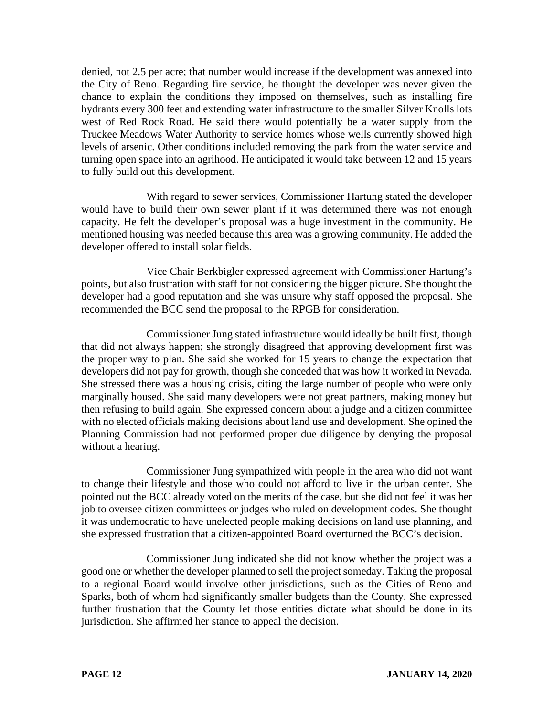denied, not 2.5 per acre; that number would increase if the development was annexed into the City of Reno. Regarding fire service, he thought the developer was never given the chance to explain the conditions they imposed on themselves, such as installing fire hydrants every 300 feet and extending water infrastructure to the smaller Silver Knolls lots west of Red Rock Road. He said there would potentially be a water supply from the Truckee Meadows Water Authority to service homes whose wells currently showed high levels of arsenic. Other conditions included removing the park from the water service and turning open space into an agrihood. He anticipated it would take between 12 and 15 years to fully build out this development.

With regard to sewer services, Commissioner Hartung stated the developer would have to build their own sewer plant if it was determined there was not enough capacity. He felt the developer's proposal was a huge investment in the community. He mentioned housing was needed because this area was a growing community. He added the developer offered to install solar fields.

Vice Chair Berkbigler expressed agreement with Commissioner Hartung's points, but also frustration with staff for not considering the bigger picture. She thought the developer had a good reputation and she was unsure why staff opposed the proposal. She recommended the BCC send the proposal to the RPGB for consideration.

Commissioner Jung stated infrastructure would ideally be built first, though that did not always happen; she strongly disagreed that approving development first was the proper way to plan. She said she worked for 15 years to change the expectation that developers did not pay for growth, though she conceded that was how it worked in Nevada. She stressed there was a housing crisis, citing the large number of people who were only marginally housed. She said many developers were not great partners, making money but then refusing to build again. She expressed concern about a judge and a citizen committee with no elected officials making decisions about land use and development. She opined the Planning Commission had not performed proper due diligence by denying the proposal without a hearing.

Commissioner Jung sympathized with people in the area who did not want to change their lifestyle and those who could not afford to live in the urban center. She pointed out the BCC already voted on the merits of the case, but she did not feel it was her job to oversee citizen committees or judges who ruled on development codes. She thought it was undemocratic to have unelected people making decisions on land use planning, and she expressed frustration that a citizen-appointed Board overturned the BCC's decision.

Commissioner Jung indicated she did not know whether the project was a good one or whether the developer planned to sell the project someday. Taking the proposal to a regional Board would involve other jurisdictions, such as the Cities of Reno and Sparks, both of whom had significantly smaller budgets than the County. She expressed further frustration that the County let those entities dictate what should be done in its jurisdiction. She affirmed her stance to appeal the decision.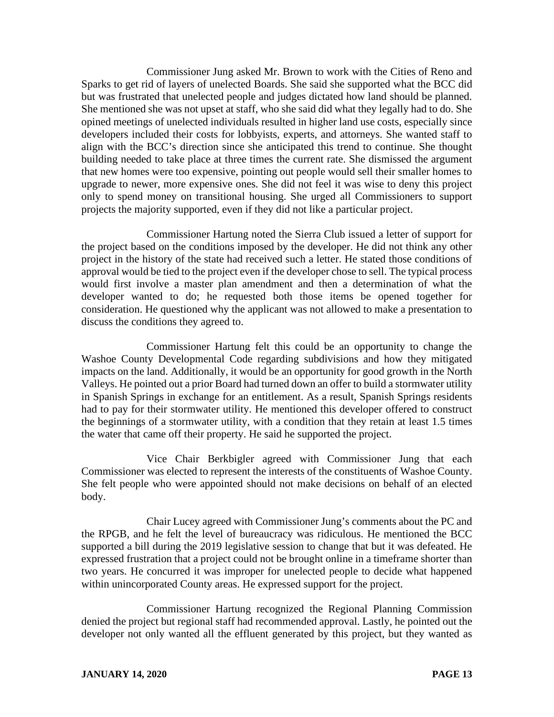Commissioner Jung asked Mr. Brown to work with the Cities of Reno and Sparks to get rid of layers of unelected Boards. She said she supported what the BCC did but was frustrated that unelected people and judges dictated how land should be planned. She mentioned she was not upset at staff, who she said did what they legally had to do. She opined meetings of unelected individuals resulted in higher land use costs, especially since developers included their costs for lobbyists, experts, and attorneys. She wanted staff to align with the BCC's direction since she anticipated this trend to continue. She thought building needed to take place at three times the current rate. She dismissed the argument that new homes were too expensive, pointing out people would sell their smaller homes to upgrade to newer, more expensive ones. She did not feel it was wise to deny this project only to spend money on transitional housing. She urged all Commissioners to support projects the majority supported, even if they did not like a particular project.

Commissioner Hartung noted the Sierra Club issued a letter of support for the project based on the conditions imposed by the developer. He did not think any other project in the history of the state had received such a letter. He stated those conditions of approval would be tied to the project even if the developer chose to sell. The typical process would first involve a master plan amendment and then a determination of what the developer wanted to do; he requested both those items be opened together for consideration. He questioned why the applicant was not allowed to make a presentation to discuss the conditions they agreed to.

Commissioner Hartung felt this could be an opportunity to change the Washoe County Developmental Code regarding subdivisions and how they mitigated impacts on the land. Additionally, it would be an opportunity for good growth in the North Valleys. He pointed out a prior Board had turned down an offer to build a stormwater utility in Spanish Springs in exchange for an entitlement. As a result, Spanish Springs residents had to pay for their stormwater utility. He mentioned this developer offered to construct the beginnings of a stormwater utility, with a condition that they retain at least 1.5 times the water that came off their property. He said he supported the project.

Vice Chair Berkbigler agreed with Commissioner Jung that each Commissioner was elected to represent the interests of the constituents of Washoe County. She felt people who were appointed should not make decisions on behalf of an elected body.

Chair Lucey agreed with Commissioner Jung's comments about the PC and the RPGB, and he felt the level of bureaucracy was ridiculous. He mentioned the BCC supported a bill during the 2019 legislative session to change that but it was defeated. He expressed frustration that a project could not be brought online in a timeframe shorter than two years. He concurred it was improper for unelected people to decide what happened within unincorporated County areas. He expressed support for the project.

Commissioner Hartung recognized the Regional Planning Commission denied the project but regional staff had recommended approval. Lastly, he pointed out the developer not only wanted all the effluent generated by this project, but they wanted as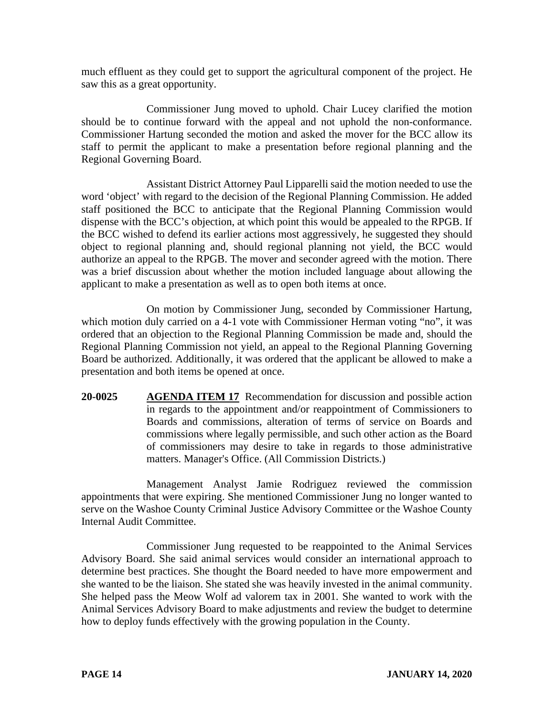much effluent as they could get to support the agricultural component of the project. He saw this as a great opportunity.

Commissioner Jung moved to uphold. Chair Lucey clarified the motion should be to continue forward with the appeal and not uphold the non-conformance. Commissioner Hartung seconded the motion and asked the mover for the BCC allow its staff to permit the applicant to make a presentation before regional planning and the Regional Governing Board.

Assistant District Attorney Paul Lipparelli said the motion needed to use the word 'object' with regard to the decision of the Regional Planning Commission. He added staff positioned the BCC to anticipate that the Regional Planning Commission would dispense with the BCC's objection, at which point this would be appealed to the RPGB. If the BCC wished to defend its earlier actions most aggressively, he suggested they should object to regional planning and, should regional planning not yield, the BCC would authorize an appeal to the RPGB. The mover and seconder agreed with the motion. There was a brief discussion about whether the motion included language about allowing the applicant to make a presentation as well as to open both items at once.

On motion by Commissioner Jung, seconded by Commissioner Hartung, which motion duly carried on a 4-1 vote with Commissioner Herman voting "no", it was ordered that an objection to the Regional Planning Commission be made and, should the Regional Planning Commission not yield, an appeal to the Regional Planning Governing Board be authorized. Additionally, it was ordered that the applicant be allowed to make a presentation and both items be opened at once.

**20-0025 AGENDA ITEM 17** Recommendation for discussion and possible action in regards to the appointment and/or reappointment of Commissioners to Boards and commissions, alteration of terms of service on Boards and commissions where legally permissible, and such other action as the Board of commissioners may desire to take in regards to those administrative matters. Manager's Office. (All Commission Districts.)

Management Analyst Jamie Rodriguez reviewed the commission appointments that were expiring. She mentioned Commissioner Jung no longer wanted to serve on the Washoe County Criminal Justice Advisory Committee or the Washoe County Internal Audit Committee.

Commissioner Jung requested to be reappointed to the Animal Services Advisory Board. She said animal services would consider an international approach to determine best practices. She thought the Board needed to have more empowerment and she wanted to be the liaison. She stated she was heavily invested in the animal community. She helped pass the Meow Wolf ad valorem tax in 2001. She wanted to work with the Animal Services Advisory Board to make adjustments and review the budget to determine how to deploy funds effectively with the growing population in the County.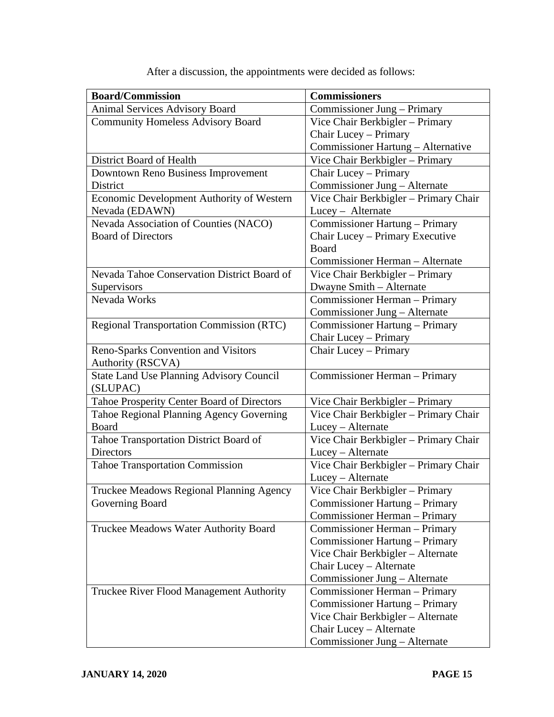| <b>Board/Commission</b>                                     | <b>Commissioners</b>                  |
|-------------------------------------------------------------|---------------------------------------|
| <b>Animal Services Advisory Board</b>                       | Commissioner Jung – Primary           |
| <b>Community Homeless Advisory Board</b>                    | Vice Chair Berkbigler - Primary       |
|                                                             | Chair Lucey - Primary                 |
|                                                             | Commissioner Hartung - Alternative    |
| District Board of Health                                    | Vice Chair Berkbigler - Primary       |
| Downtown Reno Business Improvement                          | Chair Lucey - Primary                 |
| District                                                    | Commissioner Jung - Alternate         |
| Economic Development Authority of Western                   | Vice Chair Berkbigler - Primary Chair |
| Nevada (EDAWN)                                              | Lucey - Alternate                     |
| Nevada Association of Counties (NACO)                       | Commissioner Hartung - Primary        |
| <b>Board of Directors</b>                                   | Chair Lucey - Primary Executive       |
|                                                             | Board                                 |
|                                                             | Commissioner Herman – Alternate       |
| Nevada Tahoe Conservation District Board of                 | Vice Chair Berkbigler - Primary       |
| Supervisors                                                 | Dwayne Smith - Alternate              |
| Nevada Works                                                | Commissioner Herman - Primary         |
|                                                             | Commissioner Jung - Alternate         |
| <b>Regional Transportation Commission (RTC)</b>             | Commissioner Hartung - Primary        |
|                                                             | Chair Lucey - Primary                 |
| Reno-Sparks Convention and Visitors                         | Chair Lucey - Primary                 |
| Authority (RSCVA)                                           |                                       |
| <b>State Land Use Planning Advisory Council</b><br>(SLUPAC) | Commissioner Herman - Primary         |
| Tahoe Prosperity Center Board of Directors                  | Vice Chair Berkbigler - Primary       |
| Tahoe Regional Planning Agency Governing                    | Vice Chair Berkbigler - Primary Chair |
| Board                                                       | Lucey - Alternate                     |
| Tahoe Transportation District Board of                      | Vice Chair Berkbigler - Primary Chair |
| <b>Directors</b>                                            | Lucey - Alternate                     |
| <b>Tahoe Transportation Commission</b>                      | Vice Chair Berkbigler - Primary Chair |
|                                                             | Lucey - Alternate                     |
| Truckee Meadows Regional Planning Agency                    | Vice Chair Berkbigler - Primary       |
| Governing Board                                             | Commissioner Hartung – Primary        |
|                                                             | Commissioner Herman - Primary         |
| Truckee Meadows Water Authority Board                       | Commissioner Herman - Primary         |
|                                                             | Commissioner Hartung - Primary        |
|                                                             | Vice Chair Berkbigler - Alternate     |
|                                                             | Chair Lucey - Alternate               |
|                                                             | Commissioner Jung - Alternate         |
| Truckee River Flood Management Authority                    | Commissioner Herman - Primary         |
|                                                             | Commissioner Hartung – Primary        |
|                                                             | Vice Chair Berkbigler - Alternate     |
|                                                             | Chair Lucey - Alternate               |
|                                                             | Commissioner Jung - Alternate         |

After a discussion, the appointments were decided as follows: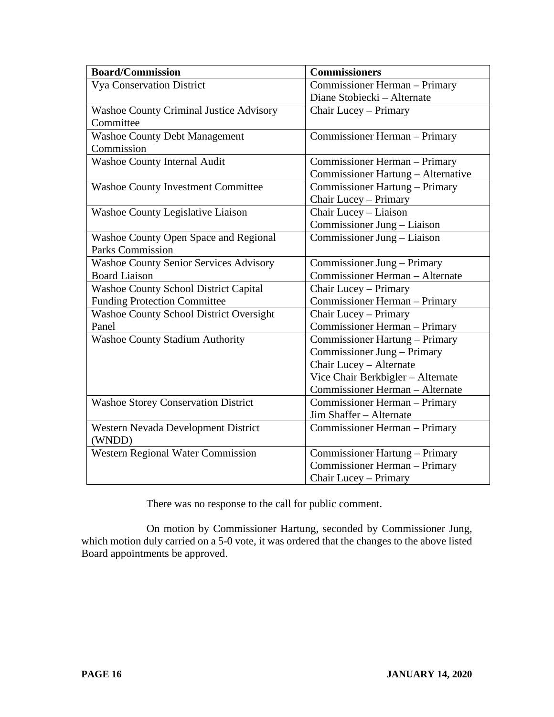| <b>Board/Commission</b>                        | <b>Commissioners</b>               |
|------------------------------------------------|------------------------------------|
| <b>Vya Conservation District</b>               | Commissioner Herman - Primary      |
|                                                | Diane Stobiecki - Alternate        |
| <b>Washoe County Criminal Justice Advisory</b> | Chair Lucey - Primary              |
| Committee                                      |                                    |
| <b>Washoe County Debt Management</b>           | Commissioner Herman - Primary      |
| Commission                                     |                                    |
| <b>Washoe County Internal Audit</b>            | Commissioner Herman - Primary      |
|                                                | Commissioner Hartung - Alternative |
| <b>Washoe County Investment Committee</b>      | Commissioner Hartung - Primary     |
|                                                | Chair Lucey - Primary              |
| Washoe County Legislative Liaison              | Chair Lucey - Liaison              |
|                                                | Commissioner Jung - Liaison        |
| Washoe County Open Space and Regional          | Commissioner Jung – Liaison        |
| <b>Parks Commission</b>                        |                                    |
| <b>Washoe County Senior Services Advisory</b>  | Commissioner Jung - Primary        |
| <b>Board Liaison</b>                           | Commissioner Herman - Alternate    |
| <b>Washoe County School District Capital</b>   | Chair Lucey - Primary              |
| <b>Funding Protection Committee</b>            | Commissioner Herman - Primary      |
| <b>Washoe County School District Oversight</b> | Chair Lucey - Primary              |
| Panel                                          | Commissioner Herman - Primary      |
| <b>Washoe County Stadium Authority</b>         | Commissioner Hartung – Primary     |
|                                                | Commissioner Jung – Primary        |
|                                                | Chair Lucey - Alternate            |
|                                                | Vice Chair Berkbigler - Alternate  |
|                                                | Commissioner Herman - Alternate    |
| <b>Washoe Storey Conservation District</b>     | Commissioner Herman - Primary      |
|                                                | Jim Shaffer - Alternate            |
| Western Nevada Development District            | Commissioner Herman - Primary      |
| (WNDD)                                         |                                    |
| <b>Western Regional Water Commission</b>       | Commissioner Hartung - Primary     |
|                                                | Commissioner Herman - Primary      |
|                                                | Chair Lucey - Primary              |

There was no response to the call for public comment.

On motion by Commissioner Hartung, seconded by Commissioner Jung, which motion duly carried on a 5-0 vote, it was ordered that the changes to the above listed Board appointments be approved.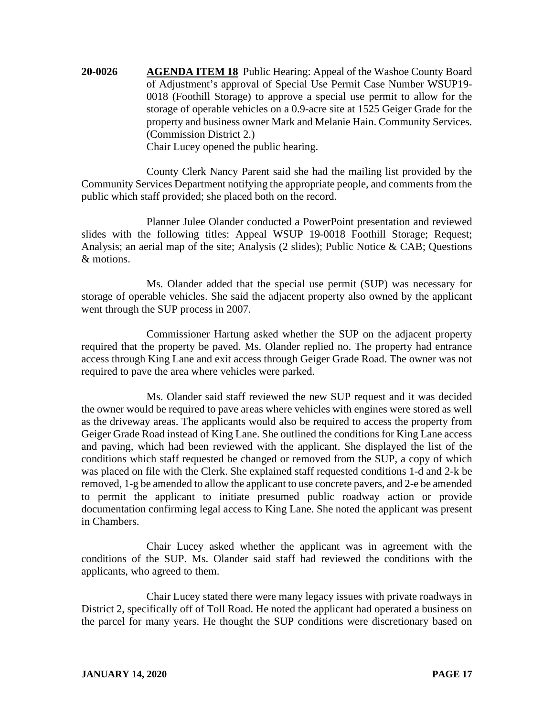**20-0026 AGENDA ITEM 18** Public Hearing: Appeal of the Washoe County Board of Adjustment's approval of Special Use Permit Case Number WSUP19- 0018 (Foothill Storage) to approve a special use permit to allow for the storage of operable vehicles on a 0.9-acre site at 1525 Geiger Grade for the property and business owner Mark and Melanie Hain. Community Services. (Commission District 2.) Chair Lucey opened the public hearing.

County Clerk Nancy Parent said she had the mailing list provided by the Community Services Department notifying the appropriate people, and comments from the public which staff provided; she placed both on the record.

Planner Julee Olander conducted a PowerPoint presentation and reviewed slides with the following titles: Appeal WSUP 19-0018 Foothill Storage; Request; Analysis; an aerial map of the site; Analysis (2 slides); Public Notice & CAB; Questions & motions.

Ms. Olander added that the special use permit (SUP) was necessary for storage of operable vehicles. She said the adjacent property also owned by the applicant went through the SUP process in 2007.

Commissioner Hartung asked whether the SUP on the adjacent property required that the property be paved. Ms. Olander replied no. The property had entrance access through King Lane and exit access through Geiger Grade Road. The owner was not required to pave the area where vehicles were parked.

Ms. Olander said staff reviewed the new SUP request and it was decided the owner would be required to pave areas where vehicles with engines were stored as well as the driveway areas. The applicants would also be required to access the property from Geiger Grade Road instead of King Lane. She outlined the conditions for King Lane access and paving, which had been reviewed with the applicant. She displayed the list of the conditions which staff requested be changed or removed from the SUP, a copy of which was placed on file with the Clerk. She explained staff requested conditions 1-d and 2-k be removed, 1-g be amended to allow the applicant to use concrete pavers, and 2-e be amended to permit the applicant to initiate presumed public roadway action or provide documentation confirming legal access to King Lane. She noted the applicant was present in Chambers.

Chair Lucey asked whether the applicant was in agreement with the conditions of the SUP. Ms. Olander said staff had reviewed the conditions with the applicants, who agreed to them.

Chair Lucey stated there were many legacy issues with private roadways in District 2, specifically off of Toll Road. He noted the applicant had operated a business on the parcel for many years. He thought the SUP conditions were discretionary based on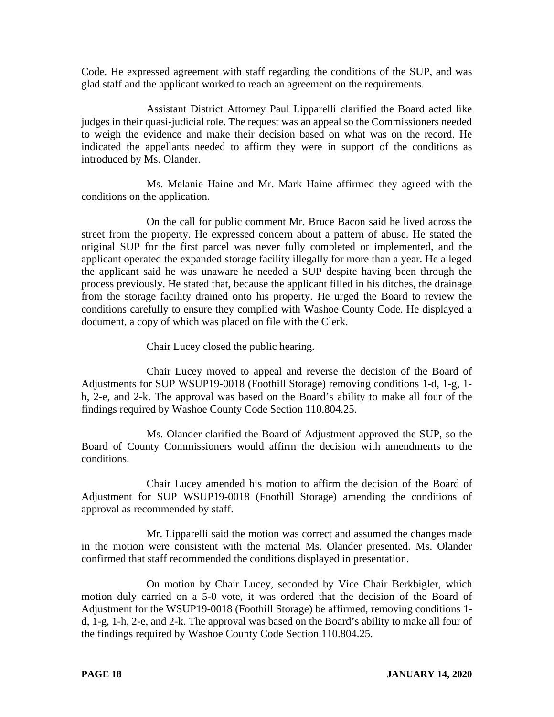Code. He expressed agreement with staff regarding the conditions of the SUP, and was glad staff and the applicant worked to reach an agreement on the requirements.

Assistant District Attorney Paul Lipparelli clarified the Board acted like judges in their quasi-judicial role. The request was an appeal so the Commissioners needed to weigh the evidence and make their decision based on what was on the record. He indicated the appellants needed to affirm they were in support of the conditions as introduced by Ms. Olander.

Ms. Melanie Haine and Mr. Mark Haine affirmed they agreed with the conditions on the application.

On the call for public comment Mr. Bruce Bacon said he lived across the street from the property. He expressed concern about a pattern of abuse. He stated the original SUP for the first parcel was never fully completed or implemented, and the applicant operated the expanded storage facility illegally for more than a year. He alleged the applicant said he was unaware he needed a SUP despite having been through the process previously. He stated that, because the applicant filled in his ditches, the drainage from the storage facility drained onto his property. He urged the Board to review the conditions carefully to ensure they complied with Washoe County Code. He displayed a document, a copy of which was placed on file with the Clerk.

Chair Lucey closed the public hearing.

Chair Lucey moved to appeal and reverse the decision of the Board of Adjustments for SUP WSUP19-0018 (Foothill Storage) removing conditions 1-d, 1-g, 1 h, 2-e, and 2-k. The approval was based on the Board's ability to make all four of the findings required by Washoe County Code Section 110.804.25.

Ms. Olander clarified the Board of Adjustment approved the SUP, so the Board of County Commissioners would affirm the decision with amendments to the conditions.

Chair Lucey amended his motion to affirm the decision of the Board of Adjustment for SUP WSUP19-0018 (Foothill Storage) amending the conditions of approval as recommended by staff.

Mr. Lipparelli said the motion was correct and assumed the changes made in the motion were consistent with the material Ms. Olander presented. Ms. Olander confirmed that staff recommended the conditions displayed in presentation.

On motion by Chair Lucey, seconded by Vice Chair Berkbigler, which motion duly carried on a 5-0 vote, it was ordered that the decision of the Board of Adjustment for the WSUP19-0018 (Foothill Storage) be affirmed, removing conditions 1 d, 1-g, 1-h, 2-e, and 2-k. The approval was based on the Board's ability to make all four of the findings required by Washoe County Code Section 110.804.25.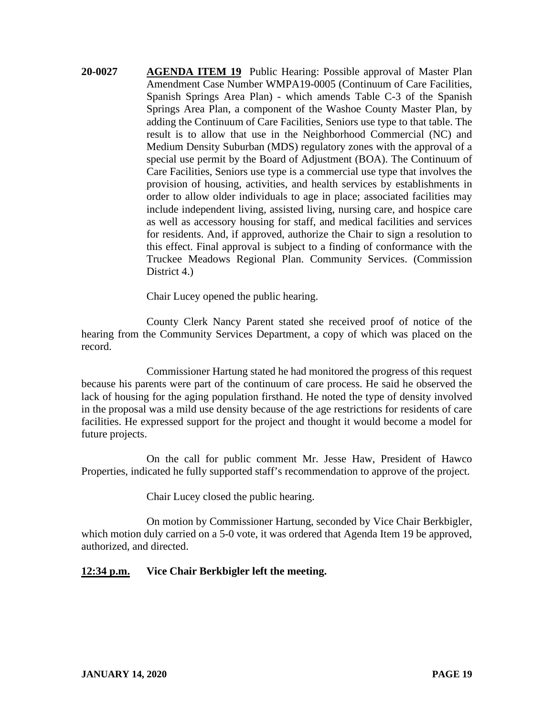**20-0027 AGENDA ITEM 19** Public Hearing: Possible approval of Master Plan Amendment Case Number WMPA19-0005 (Continuum of Care Facilities, Spanish Springs Area Plan) - which amends Table C-3 of the Spanish Springs Area Plan, a component of the Washoe County Master Plan, by adding the Continuum of Care Facilities, Seniors use type to that table. The result is to allow that use in the Neighborhood Commercial (NC) and Medium Density Suburban (MDS) regulatory zones with the approval of a special use permit by the Board of Adjustment (BOA). The Continuum of Care Facilities, Seniors use type is a commercial use type that involves the provision of housing, activities, and health services by establishments in order to allow older individuals to age in place; associated facilities may include independent living, assisted living, nursing care, and hospice care as well as accessory housing for staff, and medical facilities and services for residents. And, if approved, authorize the Chair to sign a resolution to this effect. Final approval is subject to a finding of conformance with the Truckee Meadows Regional Plan. Community Services. (Commission District 4.)

Chair Lucey opened the public hearing.

County Clerk Nancy Parent stated she received proof of notice of the hearing from the Community Services Department, a copy of which was placed on the record.

Commissioner Hartung stated he had monitored the progress of this request because his parents were part of the continuum of care process. He said he observed the lack of housing for the aging population firsthand. He noted the type of density involved in the proposal was a mild use density because of the age restrictions for residents of care facilities. He expressed support for the project and thought it would become a model for future projects.

On the call for public comment Mr. Jesse Haw, President of Hawco Properties, indicated he fully supported staff's recommendation to approve of the project.

Chair Lucey closed the public hearing.

On motion by Commissioner Hartung, seconded by Vice Chair Berkbigler, which motion duly carried on a 5-0 vote, it was ordered that Agenda Item 19 be approved, authorized, and directed.

### **12:34 p.m. Vice Chair Berkbigler left the meeting.**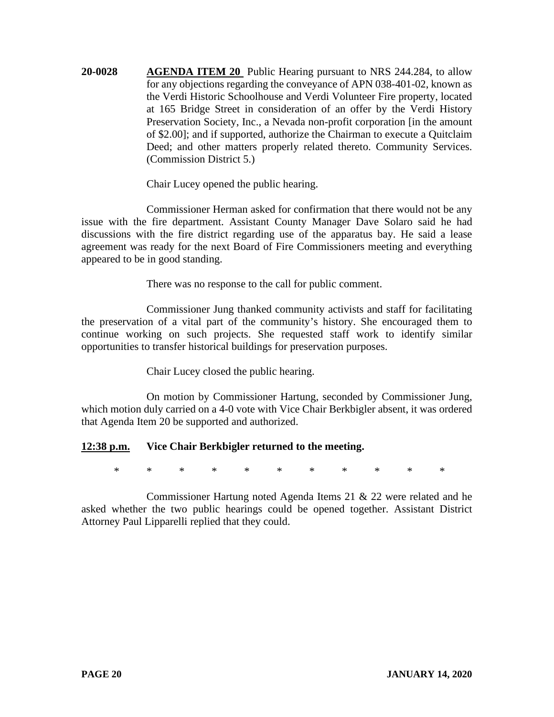**20-0028 AGENDA ITEM 20** Public Hearing pursuant to NRS 244.284, to allow for any objections regarding the conveyance of APN 038-401-02, known as the Verdi Historic Schoolhouse and Verdi Volunteer Fire property, located at 165 Bridge Street in consideration of an offer by the Verdi History Preservation Society, Inc., a Nevada non-profit corporation [in the amount of \$2.00]; and if supported, authorize the Chairman to execute a Quitclaim Deed; and other matters properly related thereto. Community Services. (Commission District 5.)

Chair Lucey opened the public hearing.

Commissioner Herman asked for confirmation that there would not be any issue with the fire department. Assistant County Manager Dave Solaro said he had discussions with the fire district regarding use of the apparatus bay. He said a lease agreement was ready for the next Board of Fire Commissioners meeting and everything appeared to be in good standing.

There was no response to the call for public comment.

Commissioner Jung thanked community activists and staff for facilitating the preservation of a vital part of the community's history. She encouraged them to continue working on such projects. She requested staff work to identify similar opportunities to transfer historical buildings for preservation purposes.

Chair Lucey closed the public hearing.

On motion by Commissioner Hartung, seconded by Commissioner Jung, which motion duly carried on a 4-0 vote with Vice Chair Berkbigler absent, it was ordered that Agenda Item 20 be supported and authorized.

# **12:38 p.m. Vice Chair Berkbigler returned to the meeting.**

\* \* \* \* \* \* \* \* \* \* \*

Commissioner Hartung noted Agenda Items 21 & 22 were related and he asked whether the two public hearings could be opened together. Assistant District Attorney Paul Lipparelli replied that they could.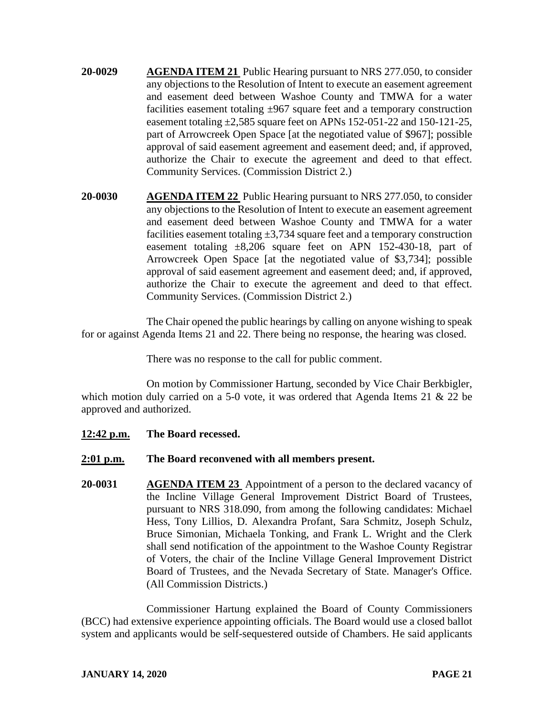- **20-0029 AGENDA ITEM 21** Public Hearing pursuant to NRS 277.050, to consider any objections to the Resolution of Intent to execute an easement agreement and easement deed between Washoe County and TMWA for a water facilities easement totaling ±967 square feet and a temporary construction easement totaling ±2,585 square feet on APNs 152-051-22 and 150-121-25, part of Arrowcreek Open Space [at the negotiated value of \$967]; possible approval of said easement agreement and easement deed; and, if approved, authorize the Chair to execute the agreement and deed to that effect. Community Services. (Commission District 2.)
- **20-0030 AGENDA ITEM 22** Public Hearing pursuant to NRS 277.050, to consider any objections to the Resolution of Intent to execute an easement agreement and easement deed between Washoe County and TMWA for a water facilities easement totaling  $\pm 3,734$  square feet and a temporary construction easement totaling  $\pm 8,206$  square feet on APN 152-430-18, part of Arrowcreek Open Space [at the negotiated value of \$3,734]; possible approval of said easement agreement and easement deed; and, if approved, authorize the Chair to execute the agreement and deed to that effect. Community Services. (Commission District 2.)

The Chair opened the public hearings by calling on anyone wishing to speak for or against Agenda Items 21 and 22. There being no response, the hearing was closed.

There was no response to the call for public comment.

On motion by Commissioner Hartung, seconded by Vice Chair Berkbigler, which motion duly carried on a 5-0 vote, it was ordered that Agenda Items 21 & 22 be approved and authorized.

**12:42 p.m. The Board recessed.**

### **2:01 p.m. The Board reconvened with all members present.**

**20-0031 AGENDA ITEM 23** Appointment of a person to the declared vacancy of the Incline Village General Improvement District Board of Trustees, pursuant to NRS 318.090, from among the following candidates: Michael Hess, Tony Lillios, D. Alexandra Profant, Sara Schmitz, Joseph Schulz, Bruce Simonian, Michaela Tonking, and Frank L. Wright and the Clerk shall send notification of the appointment to the Washoe County Registrar of Voters, the chair of the Incline Village General Improvement District Board of Trustees, and the Nevada Secretary of State. Manager's Office. (All Commission Districts.)

Commissioner Hartung explained the Board of County Commissioners (BCC) had extensive experience appointing officials. The Board would use a closed ballot system and applicants would be self-sequestered outside of Chambers. He said applicants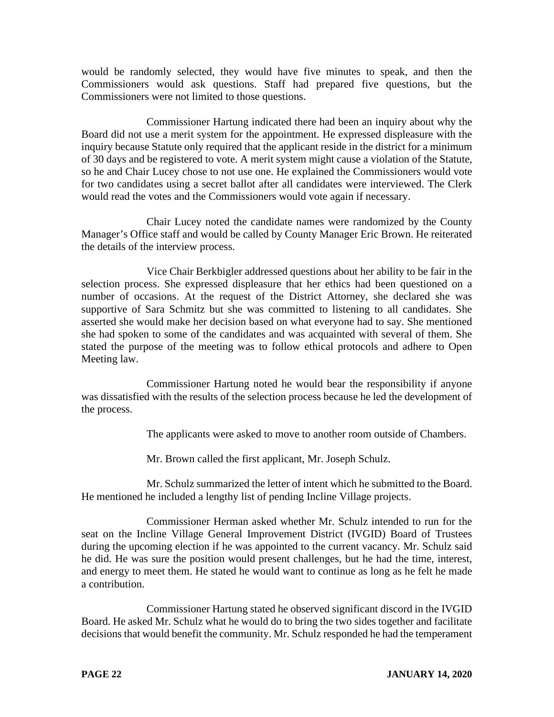would be randomly selected, they would have five minutes to speak, and then the Commissioners would ask questions. Staff had prepared five questions, but the Commissioners were not limited to those questions.

Commissioner Hartung indicated there had been an inquiry about why the Board did not use a merit system for the appointment. He expressed displeasure with the inquiry because Statute only required that the applicant reside in the district for a minimum of 30 days and be registered to vote. A merit system might cause a violation of the Statute, so he and Chair Lucey chose to not use one. He explained the Commissioners would vote for two candidates using a secret ballot after all candidates were interviewed. The Clerk would read the votes and the Commissioners would vote again if necessary.

Chair Lucey noted the candidate names were randomized by the County Manager's Office staff and would be called by County Manager Eric Brown. He reiterated the details of the interview process.

Vice Chair Berkbigler addressed questions about her ability to be fair in the selection process. She expressed displeasure that her ethics had been questioned on a number of occasions. At the request of the District Attorney, she declared she was supportive of Sara Schmitz but she was committed to listening to all candidates. She asserted she would make her decision based on what everyone had to say. She mentioned she had spoken to some of the candidates and was acquainted with several of them. She stated the purpose of the meeting was to follow ethical protocols and adhere to Open Meeting law.

Commissioner Hartung noted he would bear the responsibility if anyone was dissatisfied with the results of the selection process because he led the development of the process.

The applicants were asked to move to another room outside of Chambers.

Mr. Brown called the first applicant, Mr. Joseph Schulz.

Mr. Schulz summarized the letter of intent which he submitted to the Board. He mentioned he included a lengthy list of pending Incline Village projects.

Commissioner Herman asked whether Mr. Schulz intended to run for the seat on the Incline Village General Improvement District (IVGID) Board of Trustees during the upcoming election if he was appointed to the current vacancy. Mr. Schulz said he did. He was sure the position would present challenges, but he had the time, interest, and energy to meet them. He stated he would want to continue as long as he felt he made a contribution.

Commissioner Hartung stated he observed significant discord in the IVGID Board. He asked Mr. Schulz what he would do to bring the two sides together and facilitate decisions that would benefit the community. Mr. Schulz responded he had the temperament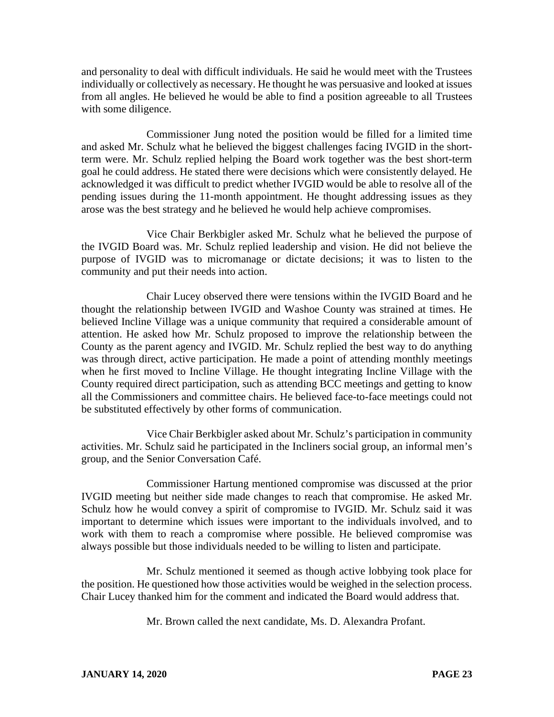and personality to deal with difficult individuals. He said he would meet with the Trustees individually or collectively as necessary. He thought he was persuasive and looked at issues from all angles. He believed he would be able to find a position agreeable to all Trustees with some diligence.

Commissioner Jung noted the position would be filled for a limited time and asked Mr. Schulz what he believed the biggest challenges facing IVGID in the shortterm were. Mr. Schulz replied helping the Board work together was the best short-term goal he could address. He stated there were decisions which were consistently delayed. He acknowledged it was difficult to predict whether IVGID would be able to resolve all of the pending issues during the 11-month appointment. He thought addressing issues as they arose was the best strategy and he believed he would help achieve compromises.

Vice Chair Berkbigler asked Mr. Schulz what he believed the purpose of the IVGID Board was. Mr. Schulz replied leadership and vision. He did not believe the purpose of IVGID was to micromanage or dictate decisions; it was to listen to the community and put their needs into action.

Chair Lucey observed there were tensions within the IVGID Board and he thought the relationship between IVGID and Washoe County was strained at times. He believed Incline Village was a unique community that required a considerable amount of attention. He asked how Mr. Schulz proposed to improve the relationship between the County as the parent agency and IVGID. Mr. Schulz replied the best way to do anything was through direct, active participation. He made a point of attending monthly meetings when he first moved to Incline Village. He thought integrating Incline Village with the County required direct participation, such as attending BCC meetings and getting to know all the Commissioners and committee chairs. He believed face-to-face meetings could not be substituted effectively by other forms of communication.

Vice Chair Berkbigler asked about Mr. Schulz's participation in community activities. Mr. Schulz said he participated in the Incliners social group, an informal men's group, and the Senior Conversation Café.

Commissioner Hartung mentioned compromise was discussed at the prior IVGID meeting but neither side made changes to reach that compromise. He asked Mr. Schulz how he would convey a spirit of compromise to IVGID. Mr. Schulz said it was important to determine which issues were important to the individuals involved, and to work with them to reach a compromise where possible. He believed compromise was always possible but those individuals needed to be willing to listen and participate.

Mr. Schulz mentioned it seemed as though active lobbying took place for the position. He questioned how those activities would be weighed in the selection process. Chair Lucey thanked him for the comment and indicated the Board would address that.

Mr. Brown called the next candidate, Ms. D. Alexandra Profant.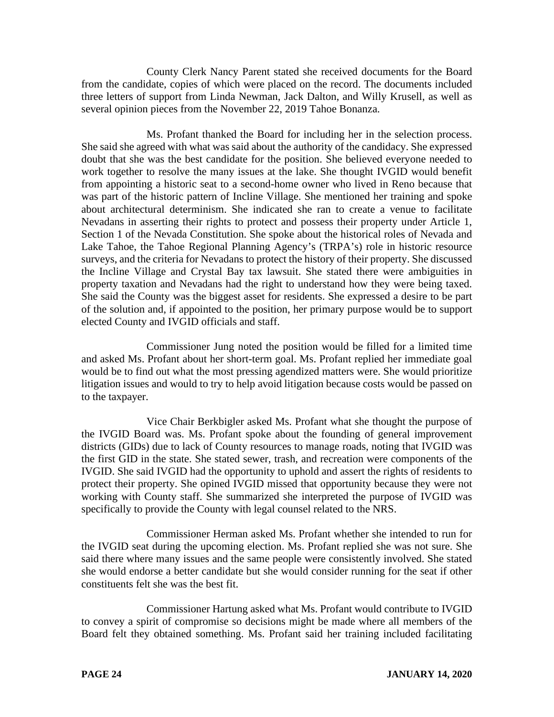County Clerk Nancy Parent stated she received documents for the Board from the candidate, copies of which were placed on the record. The documents included three letters of support from Linda Newman, Jack Dalton, and Willy Krusell, as well as several opinion pieces from the November 22, 2019 Tahoe Bonanza.

Ms. Profant thanked the Board for including her in the selection process. She said she agreed with what was said about the authority of the candidacy. She expressed doubt that she was the best candidate for the position. She believed everyone needed to work together to resolve the many issues at the lake. She thought IVGID would benefit from appointing a historic seat to a second-home owner who lived in Reno because that was part of the historic pattern of Incline Village. She mentioned her training and spoke about architectural determinism. She indicated she ran to create a venue to facilitate Nevadans in asserting their rights to protect and possess their property under Article 1, Section 1 of the Nevada Constitution. She spoke about the historical roles of Nevada and Lake Tahoe, the Tahoe Regional Planning Agency's (TRPA's) role in historic resource surveys, and the criteria for Nevadans to protect the history of their property. She discussed the Incline Village and Crystal Bay tax lawsuit. She stated there were ambiguities in property taxation and Nevadans had the right to understand how they were being taxed. She said the County was the biggest asset for residents. She expressed a desire to be part of the solution and, if appointed to the position, her primary purpose would be to support elected County and IVGID officials and staff.

Commissioner Jung noted the position would be filled for a limited time and asked Ms. Profant about her short-term goal. Ms. Profant replied her immediate goal would be to find out what the most pressing agendized matters were. She would prioritize litigation issues and would to try to help avoid litigation because costs would be passed on to the taxpayer.

Vice Chair Berkbigler asked Ms. Profant what she thought the purpose of the IVGID Board was. Ms. Profant spoke about the founding of general improvement districts (GIDs) due to lack of County resources to manage roads, noting that IVGID was the first GID in the state. She stated sewer, trash, and recreation were components of the IVGID. She said IVGID had the opportunity to uphold and assert the rights of residents to protect their property. She opined IVGID missed that opportunity because they were not working with County staff. She summarized she interpreted the purpose of IVGID was specifically to provide the County with legal counsel related to the NRS.

Commissioner Herman asked Ms. Profant whether she intended to run for the IVGID seat during the upcoming election. Ms. Profant replied she was not sure. She said there where many issues and the same people were consistently involved. She stated she would endorse a better candidate but she would consider running for the seat if other constituents felt she was the best fit.

Commissioner Hartung asked what Ms. Profant would contribute to IVGID to convey a spirit of compromise so decisions might be made where all members of the Board felt they obtained something. Ms. Profant said her training included facilitating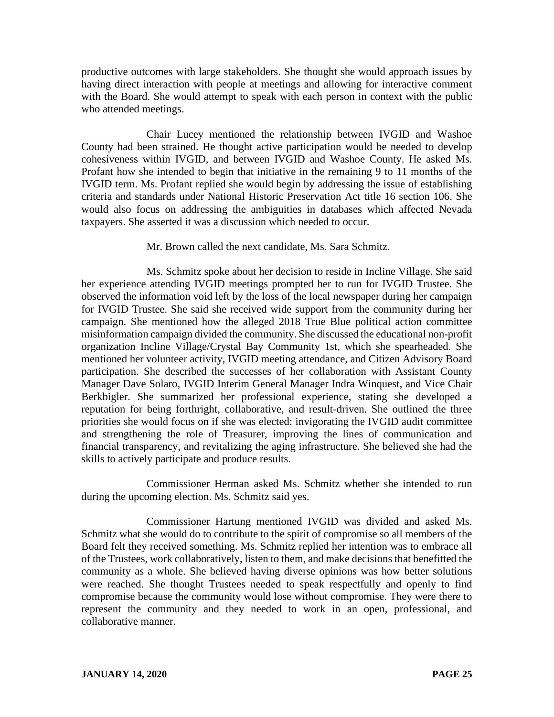productive outcomes with large stakeholders. She thought she would approach issues by having direct interaction with people at meetings and allowing for interactive comment with the Board. She would attempt to speak with each person in context with the public who attended meetings.

Chair Lucey mentioned the relationship between IVGID and Washoe County had been strained. He thought active participation would be needed to develop cohesiveness within IVGID, and between IVGID and Washoe County. He asked Ms. Profant how she intended to begin that initiative in the remaining 9 to 11 months of the IVGID term. Ms. Profant replied she would begin by addressing the issue of establishing criteria and standards under National Historic Preservation Act title 16 section 106. She would also focus on addressing the ambiguities in databases which affected Nevada taxpayers. She asserted it was a discussion which needed to occur.

Mr. Brown called the next candidate, Ms. Sara Schmitz.

Ms. Schmitz spoke about her decision to reside in Incline Village. She said her experience attending IVGID meetings prompted her to run for IVGID Trustee. She observed the information void left by the loss of the local newspaper during her campaign for IVGID Trustee. She said she received wide support from the community during her campaign. She mentioned how the alleged 2018 True Blue political action committee misinformation campaign divided the community. She discussed the educational non-profit organization Incline Village/Crystal Bay Community 1st, which she spearheaded. She mentioned her volunteer activity, IVGID meeting attendance, and Citizen Advisory Board participation. She described the successes of her collaboration with Assistant County Manager Dave Solaro, IVGID Interim General Manager Indra Winquest, and Vice Chair Berkbigler. She summarized her professional experience, stating she developed a reputation for being forthright, collaborative, and result-driven. She outlined the three priorities she would focus on if she was elected: invigorating the IVGID audit committee and strengthening the role of Treasurer, improving the lines of communication and financial transparency, and revitalizing the aging infrastructure. She believed she had the skills to actively participate and produce results.

Commissioner Herman asked Ms. Schmitz whether she intended to run during the upcoming election. Ms. Schmitz said yes.

Commissioner Hartung mentioned IVGID was divided and asked Ms. Schmitz what she would do to contribute to the spirit of compromise so all members of the Board felt they received something. Ms. Schmitz replied her intention was to embrace all of the Trustees, work collaboratively, listen to them, and make decisions that benefitted the community as a whole. She believed having diverse opinions was how better solutions were reached. She thought Trustees needed to speak respectfully and openly to find compromise because the community would lose without compromise. They were there to represent the community and they needed to work in an open, professional, and collaborative manner.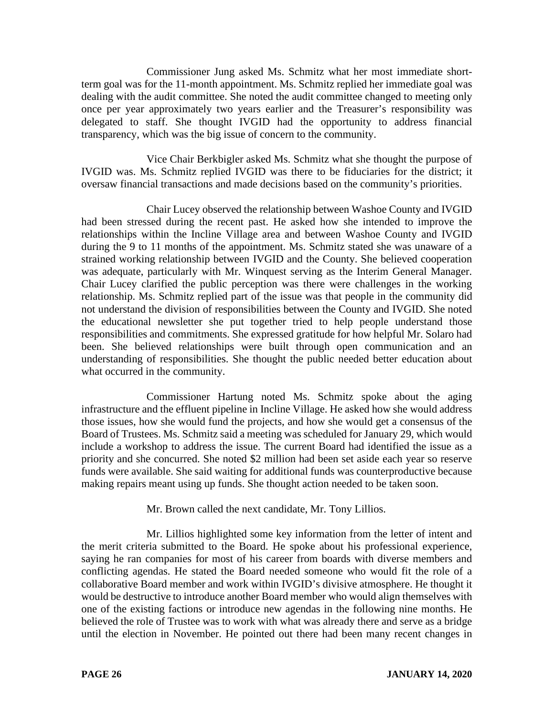Commissioner Jung asked Ms. Schmitz what her most immediate shortterm goal was for the 11-month appointment. Ms. Schmitz replied her immediate goal was dealing with the audit committee. She noted the audit committee changed to meeting only once per year approximately two years earlier and the Treasurer's responsibility was delegated to staff. She thought IVGID had the opportunity to address financial transparency, which was the big issue of concern to the community.

Vice Chair Berkbigler asked Ms. Schmitz what she thought the purpose of IVGID was. Ms. Schmitz replied IVGID was there to be fiduciaries for the district; it oversaw financial transactions and made decisions based on the community's priorities.

Chair Lucey observed the relationship between Washoe County and IVGID had been stressed during the recent past. He asked how she intended to improve the relationships within the Incline Village area and between Washoe County and IVGID during the 9 to 11 months of the appointment. Ms. Schmitz stated she was unaware of a strained working relationship between IVGID and the County. She believed cooperation was adequate, particularly with Mr. Winquest serving as the Interim General Manager. Chair Lucey clarified the public perception was there were challenges in the working relationship. Ms. Schmitz replied part of the issue was that people in the community did not understand the division of responsibilities between the County and IVGID. She noted the educational newsletter she put together tried to help people understand those responsibilities and commitments. She expressed gratitude for how helpful Mr. Solaro had been. She believed relationships were built through open communication and an understanding of responsibilities. She thought the public needed better education about what occurred in the community.

Commissioner Hartung noted Ms. Schmitz spoke about the aging infrastructure and the effluent pipeline in Incline Village. He asked how she would address those issues, how she would fund the projects, and how she would get a consensus of the Board of Trustees. Ms. Schmitz said a meeting was scheduled for January 29, which would include a workshop to address the issue. The current Board had identified the issue as a priority and she concurred. She noted \$2 million had been set aside each year so reserve funds were available. She said waiting for additional funds was counterproductive because making repairs meant using up funds. She thought action needed to be taken soon.

Mr. Brown called the next candidate, Mr. Tony Lillios.

Mr. Lillios highlighted some key information from the letter of intent and the merit criteria submitted to the Board. He spoke about his professional experience, saying he ran companies for most of his career from boards with diverse members and conflicting agendas. He stated the Board needed someone who would fit the role of a collaborative Board member and work within IVGID's divisive atmosphere. He thought it would be destructive to introduce another Board member who would align themselves with one of the existing factions or introduce new agendas in the following nine months. He believed the role of Trustee was to work with what was already there and serve as a bridge until the election in November. He pointed out there had been many recent changes in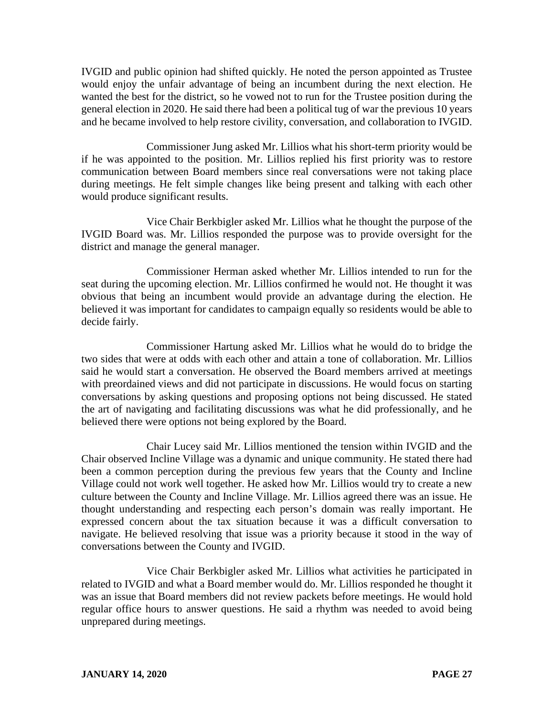IVGID and public opinion had shifted quickly. He noted the person appointed as Trustee would enjoy the unfair advantage of being an incumbent during the next election. He wanted the best for the district, so he vowed not to run for the Trustee position during the general election in 2020. He said there had been a political tug of war the previous 10 years and he became involved to help restore civility, conversation, and collaboration to IVGID.

Commissioner Jung asked Mr. Lillios what his short-term priority would be if he was appointed to the position. Mr. Lillios replied his first priority was to restore communication between Board members since real conversations were not taking place during meetings. He felt simple changes like being present and talking with each other would produce significant results.

Vice Chair Berkbigler asked Mr. Lillios what he thought the purpose of the IVGID Board was. Mr. Lillios responded the purpose was to provide oversight for the district and manage the general manager.

Commissioner Herman asked whether Mr. Lillios intended to run for the seat during the upcoming election. Mr. Lillios confirmed he would not. He thought it was obvious that being an incumbent would provide an advantage during the election. He believed it was important for candidates to campaign equally so residents would be able to decide fairly.

Commissioner Hartung asked Mr. Lillios what he would do to bridge the two sides that were at odds with each other and attain a tone of collaboration. Mr. Lillios said he would start a conversation. He observed the Board members arrived at meetings with preordained views and did not participate in discussions. He would focus on starting conversations by asking questions and proposing options not being discussed. He stated the art of navigating and facilitating discussions was what he did professionally, and he believed there were options not being explored by the Board.

Chair Lucey said Mr. Lillios mentioned the tension within IVGID and the Chair observed Incline Village was a dynamic and unique community. He stated there had been a common perception during the previous few years that the County and Incline Village could not work well together. He asked how Mr. Lillios would try to create a new culture between the County and Incline Village. Mr. Lillios agreed there was an issue. He thought understanding and respecting each person's domain was really important. He expressed concern about the tax situation because it was a difficult conversation to navigate. He believed resolving that issue was a priority because it stood in the way of conversations between the County and IVGID.

Vice Chair Berkbigler asked Mr. Lillios what activities he participated in related to IVGID and what a Board member would do. Mr. Lillios responded he thought it was an issue that Board members did not review packets before meetings. He would hold regular office hours to answer questions. He said a rhythm was needed to avoid being unprepared during meetings.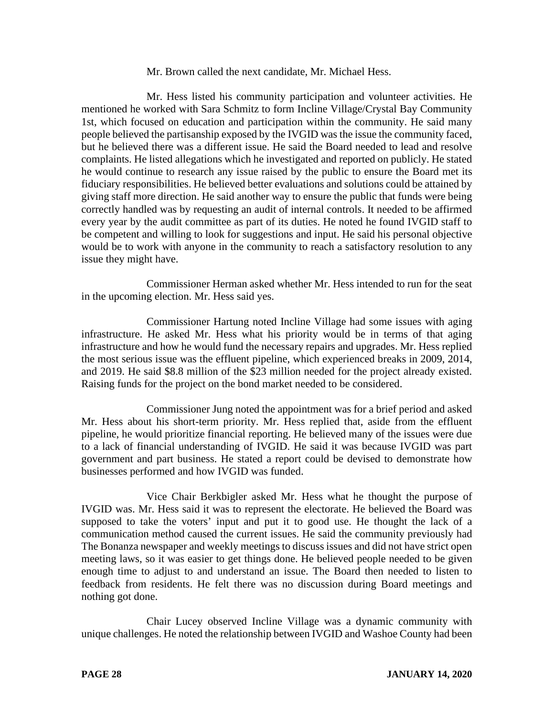#### Mr. Brown called the next candidate, Mr. Michael Hess.

Mr. Hess listed his community participation and volunteer activities. He mentioned he worked with Sara Schmitz to form Incline Village/Crystal Bay Community 1st, which focused on education and participation within the community. He said many people believed the partisanship exposed by the IVGID was the issue the community faced, but he believed there was a different issue. He said the Board needed to lead and resolve complaints. He listed allegations which he investigated and reported on publicly. He stated he would continue to research any issue raised by the public to ensure the Board met its fiduciary responsibilities. He believed better evaluations and solutions could be attained by giving staff more direction. He said another way to ensure the public that funds were being correctly handled was by requesting an audit of internal controls. It needed to be affirmed every year by the audit committee as part of its duties. He noted he found IVGID staff to be competent and willing to look for suggestions and input. He said his personal objective would be to work with anyone in the community to reach a satisfactory resolution to any issue they might have.

Commissioner Herman asked whether Mr. Hess intended to run for the seat in the upcoming election. Mr. Hess said yes.

Commissioner Hartung noted Incline Village had some issues with aging infrastructure. He asked Mr. Hess what his priority would be in terms of that aging infrastructure and how he would fund the necessary repairs and upgrades. Mr. Hess replied the most serious issue was the effluent pipeline, which experienced breaks in 2009, 2014, and 2019. He said \$8.8 million of the \$23 million needed for the project already existed. Raising funds for the project on the bond market needed to be considered.

Commissioner Jung noted the appointment was for a brief period and asked Mr. Hess about his short-term priority. Mr. Hess replied that, aside from the effluent pipeline, he would prioritize financial reporting. He believed many of the issues were due to a lack of financial understanding of IVGID. He said it was because IVGID was part government and part business. He stated a report could be devised to demonstrate how businesses performed and how IVGID was funded.

Vice Chair Berkbigler asked Mr. Hess what he thought the purpose of IVGID was. Mr. Hess said it was to represent the electorate. He believed the Board was supposed to take the voters' input and put it to good use. He thought the lack of a communication method caused the current issues. He said the community previously had The Bonanza newspaper and weekly meetings to discuss issues and did not have strict open meeting laws, so it was easier to get things done. He believed people needed to be given enough time to adjust to and understand an issue. The Board then needed to listen to feedback from residents. He felt there was no discussion during Board meetings and nothing got done.

Chair Lucey observed Incline Village was a dynamic community with unique challenges. He noted the relationship between IVGID and Washoe County had been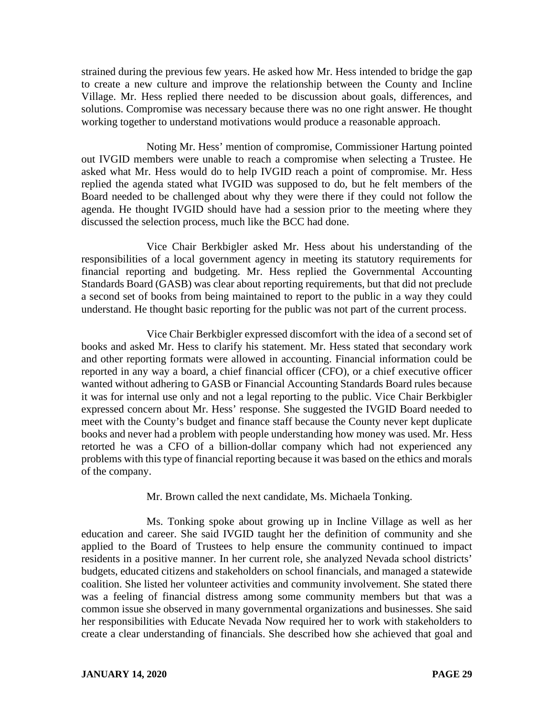strained during the previous few years. He asked how Mr. Hess intended to bridge the gap to create a new culture and improve the relationship between the County and Incline Village. Mr. Hess replied there needed to be discussion about goals, differences, and solutions. Compromise was necessary because there was no one right answer. He thought working together to understand motivations would produce a reasonable approach.

Noting Mr. Hess' mention of compromise, Commissioner Hartung pointed out IVGID members were unable to reach a compromise when selecting a Trustee. He asked what Mr. Hess would do to help IVGID reach a point of compromise. Mr. Hess replied the agenda stated what IVGID was supposed to do, but he felt members of the Board needed to be challenged about why they were there if they could not follow the agenda. He thought IVGID should have had a session prior to the meeting where they discussed the selection process, much like the BCC had done.

Vice Chair Berkbigler asked Mr. Hess about his understanding of the responsibilities of a local government agency in meeting its statutory requirements for financial reporting and budgeting. Mr. Hess replied the Governmental Accounting Standards Board (GASB) was clear about reporting requirements, but that did not preclude a second set of books from being maintained to report to the public in a way they could understand. He thought basic reporting for the public was not part of the current process.

Vice Chair Berkbigler expressed discomfort with the idea of a second set of books and asked Mr. Hess to clarify his statement. Mr. Hess stated that secondary work and other reporting formats were allowed in accounting. Financial information could be reported in any way a board, a chief financial officer (CFO), or a chief executive officer wanted without adhering to GASB or Financial Accounting Standards Board rules because it was for internal use only and not a legal reporting to the public. Vice Chair Berkbigler expressed concern about Mr. Hess' response. She suggested the IVGID Board needed to meet with the County's budget and finance staff because the County never kept duplicate books and never had a problem with people understanding how money was used. Mr. Hess retorted he was a CFO of a billion-dollar company which had not experienced any problems with this type of financial reporting because it was based on the ethics and morals of the company.

Mr. Brown called the next candidate, Ms. Michaela Tonking.

Ms. Tonking spoke about growing up in Incline Village as well as her education and career. She said IVGID taught her the definition of community and she applied to the Board of Trustees to help ensure the community continued to impact residents in a positive manner. In her current role, she analyzed Nevada school districts' budgets, educated citizens and stakeholders on school financials, and managed a statewide coalition. She listed her volunteer activities and community involvement. She stated there was a feeling of financial distress among some community members but that was a common issue she observed in many governmental organizations and businesses. She said her responsibilities with Educate Nevada Now required her to work with stakeholders to create a clear understanding of financials. She described how she achieved that goal and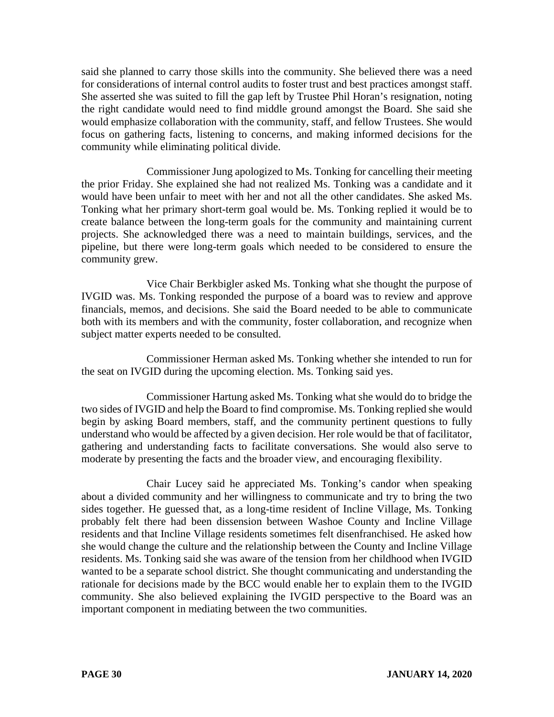said she planned to carry those skills into the community. She believed there was a need for considerations of internal control audits to foster trust and best practices amongst staff. She asserted she was suited to fill the gap left by Trustee Phil Horan's resignation, noting the right candidate would need to find middle ground amongst the Board. She said she would emphasize collaboration with the community, staff, and fellow Trustees. She would focus on gathering facts, listening to concerns, and making informed decisions for the community while eliminating political divide.

Commissioner Jung apologized to Ms. Tonking for cancelling their meeting the prior Friday. She explained she had not realized Ms. Tonking was a candidate and it would have been unfair to meet with her and not all the other candidates. She asked Ms. Tonking what her primary short-term goal would be. Ms. Tonking replied it would be to create balance between the long-term goals for the community and maintaining current projects. She acknowledged there was a need to maintain buildings, services, and the pipeline, but there were long-term goals which needed to be considered to ensure the community grew.

Vice Chair Berkbigler asked Ms. Tonking what she thought the purpose of IVGID was. Ms. Tonking responded the purpose of a board was to review and approve financials, memos, and decisions. She said the Board needed to be able to communicate both with its members and with the community, foster collaboration, and recognize when subject matter experts needed to be consulted.

Commissioner Herman asked Ms. Tonking whether she intended to run for the seat on IVGID during the upcoming election. Ms. Tonking said yes.

Commissioner Hartung asked Ms. Tonking what she would do to bridge the two sides of IVGID and help the Board to find compromise. Ms. Tonking replied she would begin by asking Board members, staff, and the community pertinent questions to fully understand who would be affected by a given decision. Her role would be that of facilitator, gathering and understanding facts to facilitate conversations. She would also serve to moderate by presenting the facts and the broader view, and encouraging flexibility.

Chair Lucey said he appreciated Ms. Tonking's candor when speaking about a divided community and her willingness to communicate and try to bring the two sides together. He guessed that, as a long-time resident of Incline Village, Ms. Tonking probably felt there had been dissension between Washoe County and Incline Village residents and that Incline Village residents sometimes felt disenfranchised. He asked how she would change the culture and the relationship between the County and Incline Village residents. Ms. Tonking said she was aware of the tension from her childhood when IVGID wanted to be a separate school district. She thought communicating and understanding the rationale for decisions made by the BCC would enable her to explain them to the IVGID community. She also believed explaining the IVGID perspective to the Board was an important component in mediating between the two communities.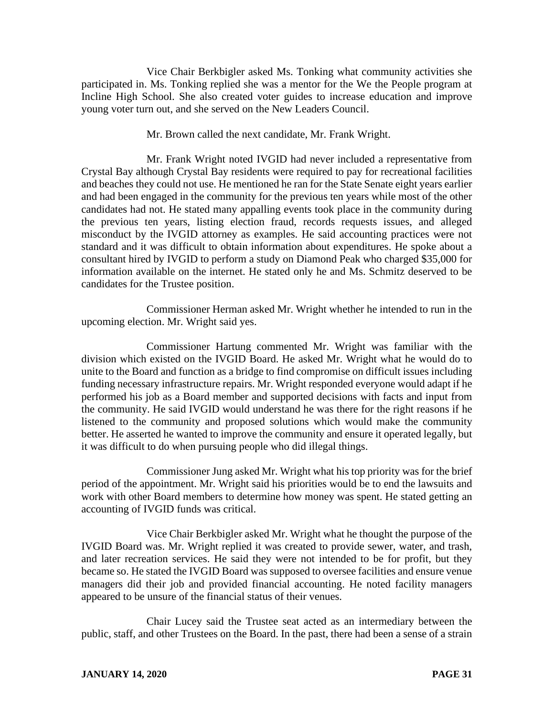Vice Chair Berkbigler asked Ms. Tonking what community activities she participated in. Ms. Tonking replied she was a mentor for the We the People program at Incline High School. She also created voter guides to increase education and improve young voter turn out, and she served on the New Leaders Council.

Mr. Brown called the next candidate, Mr. Frank Wright.

Mr. Frank Wright noted IVGID had never included a representative from Crystal Bay although Crystal Bay residents were required to pay for recreational facilities and beaches they could not use. He mentioned he ran for the State Senate eight years earlier and had been engaged in the community for the previous ten years while most of the other candidates had not. He stated many appalling events took place in the community during the previous ten years, listing election fraud, records requests issues, and alleged misconduct by the IVGID attorney as examples. He said accounting practices were not standard and it was difficult to obtain information about expenditures. He spoke about a consultant hired by IVGID to perform a study on Diamond Peak who charged \$35,000 for information available on the internet. He stated only he and Ms. Schmitz deserved to be candidates for the Trustee position.

Commissioner Herman asked Mr. Wright whether he intended to run in the upcoming election. Mr. Wright said yes.

Commissioner Hartung commented Mr. Wright was familiar with the division which existed on the IVGID Board. He asked Mr. Wright what he would do to unite to the Board and function as a bridge to find compromise on difficult issues including funding necessary infrastructure repairs. Mr. Wright responded everyone would adapt if he performed his job as a Board member and supported decisions with facts and input from the community. He said IVGID would understand he was there for the right reasons if he listened to the community and proposed solutions which would make the community better. He asserted he wanted to improve the community and ensure it operated legally, but it was difficult to do when pursuing people who did illegal things.

Commissioner Jung asked Mr. Wright what his top priority was for the brief period of the appointment. Mr. Wright said his priorities would be to end the lawsuits and work with other Board members to determine how money was spent. He stated getting an accounting of IVGID funds was critical.

Vice Chair Berkbigler asked Mr. Wright what he thought the purpose of the IVGID Board was. Mr. Wright replied it was created to provide sewer, water, and trash, and later recreation services. He said they were not intended to be for profit, but they became so. He stated the IVGID Board was supposed to oversee facilities and ensure venue managers did their job and provided financial accounting. He noted facility managers appeared to be unsure of the financial status of their venues.

Chair Lucey said the Trustee seat acted as an intermediary between the public, staff, and other Trustees on the Board. In the past, there had been a sense of a strain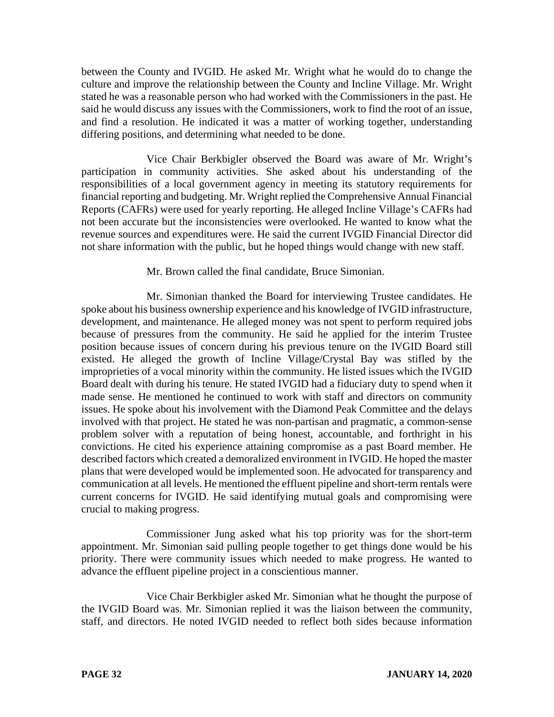between the County and IVGID. He asked Mr. Wright what he would do to change the culture and improve the relationship between the County and Incline Village. Mr. Wright stated he was a reasonable person who had worked with the Commissioners in the past. He said he would discuss any issues with the Commissioners, work to find the root of an issue, and find a resolution. He indicated it was a matter of working together, understanding differing positions, and determining what needed to be done.

Vice Chair Berkbigler observed the Board was aware of Mr. Wright's participation in community activities. She asked about his understanding of the responsibilities of a local government agency in meeting its statutory requirements for financial reporting and budgeting. Mr. Wright replied the Comprehensive Annual Financial Reports (CAFRs) were used for yearly reporting. He alleged Incline Village's CAFRs had not been accurate but the inconsistencies were overlooked. He wanted to know what the revenue sources and expenditures were. He said the current IVGID Financial Director did not share information with the public, but he hoped things would change with new staff.

#### Mr. Brown called the final candidate, Bruce Simonian.

Mr. Simonian thanked the Board for interviewing Trustee candidates. He spoke about his business ownership experience and his knowledge of IVGID infrastructure, development, and maintenance. He alleged money was not spent to perform required jobs because of pressures from the community. He said he applied for the interim Trustee position because issues of concern during his previous tenure on the IVGID Board still existed. He alleged the growth of Incline Village/Crystal Bay was stifled by the improprieties of a vocal minority within the community. He listed issues which the IVGID Board dealt with during his tenure. He stated IVGID had a fiduciary duty to spend when it made sense. He mentioned he continued to work with staff and directors on community issues. He spoke about his involvement with the Diamond Peak Committee and the delays involved with that project. He stated he was non-partisan and pragmatic, a common-sense problem solver with a reputation of being honest, accountable, and forthright in his convictions. He cited his experience attaining compromise as a past Board member. He described factors which created a demoralized environment in IVGID. He hoped the master plans that were developed would be implemented soon. He advocated for transparency and communication at all levels. He mentioned the effluent pipeline and short-term rentals were current concerns for IVGID. He said identifying mutual goals and compromising were crucial to making progress.

Commissioner Jung asked what his top priority was for the short-term appointment. Mr. Simonian said pulling people together to get things done would be his priority. There were community issues which needed to make progress. He wanted to advance the effluent pipeline project in a conscientious manner.

Vice Chair Berkbigler asked Mr. Simonian what he thought the purpose of the IVGID Board was. Mr. Simonian replied it was the liaison between the community, staff, and directors. He noted IVGID needed to reflect both sides because information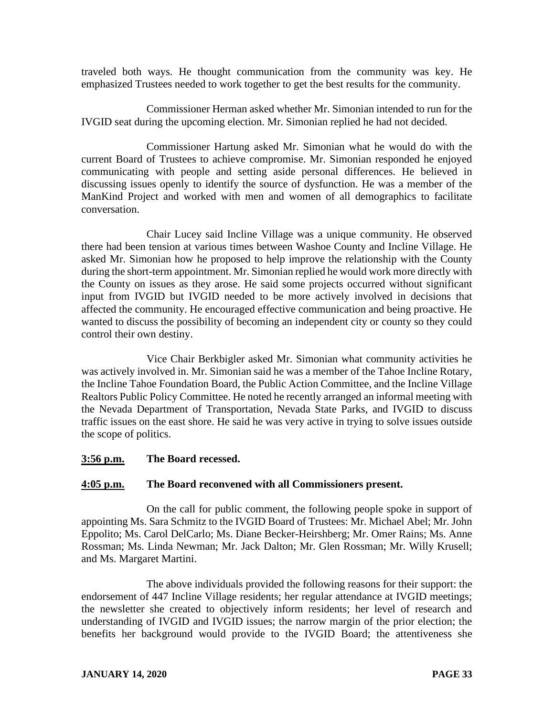traveled both ways. He thought communication from the community was key. He emphasized Trustees needed to work together to get the best results for the community.

Commissioner Herman asked whether Mr. Simonian intended to run for the IVGID seat during the upcoming election. Mr. Simonian replied he had not decided.

Commissioner Hartung asked Mr. Simonian what he would do with the current Board of Trustees to achieve compromise. Mr. Simonian responded he enjoyed communicating with people and setting aside personal differences. He believed in discussing issues openly to identify the source of dysfunction. He was a member of the ManKind Project and worked with men and women of all demographics to facilitate conversation.

Chair Lucey said Incline Village was a unique community. He observed there had been tension at various times between Washoe County and Incline Village. He asked Mr. Simonian how he proposed to help improve the relationship with the County during the short-term appointment. Mr. Simonian replied he would work more directly with the County on issues as they arose. He said some projects occurred without significant input from IVGID but IVGID needed to be more actively involved in decisions that affected the community. He encouraged effective communication and being proactive. He wanted to discuss the possibility of becoming an independent city or county so they could control their own destiny.

Vice Chair Berkbigler asked Mr. Simonian what community activities he was actively involved in. Mr. Simonian said he was a member of the Tahoe Incline Rotary, the Incline Tahoe Foundation Board, the Public Action Committee, and the Incline Village Realtors Public Policy Committee. He noted he recently arranged an informal meeting with the Nevada Department of Transportation, Nevada State Parks, and IVGID to discuss traffic issues on the east shore. He said he was very active in trying to solve issues outside the scope of politics.

### **3:56 p.m. The Board recessed.**

#### **4:05 p.m. The Board reconvened with all Commissioners present.**

On the call for public comment, the following people spoke in support of appointing Ms. Sara Schmitz to the IVGID Board of Trustees: Mr. Michael Abel; Mr. John Eppolito; Ms. Carol DelCarlo; Ms. Diane Becker-Heirshberg; Mr. Omer Rains; Ms. Anne Rossman; Ms. Linda Newman; Mr. Jack Dalton; Mr. Glen Rossman; Mr. Willy Krusell; and Ms. Margaret Martini.

The above individuals provided the following reasons for their support: the endorsement of 447 Incline Village residents; her regular attendance at IVGID meetings; the newsletter she created to objectively inform residents; her level of research and understanding of IVGID and IVGID issues; the narrow margin of the prior election; the benefits her background would provide to the IVGID Board; the attentiveness she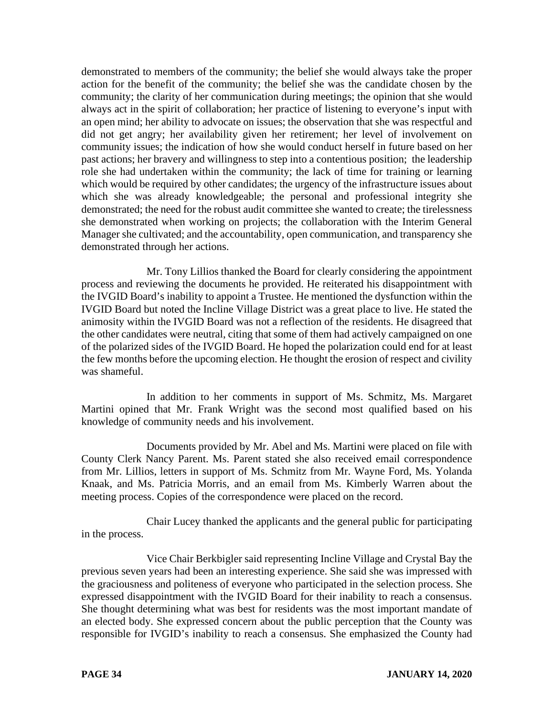demonstrated to members of the community; the belief she would always take the proper action for the benefit of the community; the belief she was the candidate chosen by the community; the clarity of her communication during meetings; the opinion that she would always act in the spirit of collaboration; her practice of listening to everyone's input with an open mind; her ability to advocate on issues; the observation that she was respectful and did not get angry; her availability given her retirement; her level of involvement on community issues; the indication of how she would conduct herself in future based on her past actions; her bravery and willingness to step into a contentious position; the leadership role she had undertaken within the community; the lack of time for training or learning which would be required by other candidates; the urgency of the infrastructure issues about which she was already knowledgeable; the personal and professional integrity she demonstrated; the need for the robust audit committee she wanted to create; the tirelessness she demonstrated when working on projects; the collaboration with the Interim General Manager she cultivated; and the accountability, open communication, and transparency she demonstrated through her actions.

Mr. Tony Lillios thanked the Board for clearly considering the appointment process and reviewing the documents he provided. He reiterated his disappointment with the IVGID Board's inability to appoint a Trustee. He mentioned the dysfunction within the IVGID Board but noted the Incline Village District was a great place to live. He stated the animosity within the IVGID Board was not a reflection of the residents. He disagreed that the other candidates were neutral, citing that some of them had actively campaigned on one of the polarized sides of the IVGID Board. He hoped the polarization could end for at least the few months before the upcoming election. He thought the erosion of respect and civility was shameful.

In addition to her comments in support of Ms. Schmitz, Ms. Margaret Martini opined that Mr. Frank Wright was the second most qualified based on his knowledge of community needs and his involvement.

Documents provided by Mr. Abel and Ms. Martini were placed on file with County Clerk Nancy Parent. Ms. Parent stated she also received email correspondence from Mr. Lillios, letters in support of Ms. Schmitz from Mr. Wayne Ford, Ms. Yolanda Knaak, and Ms. Patricia Morris, and an email from Ms. Kimberly Warren about the meeting process. Copies of the correspondence were placed on the record.

Chair Lucey thanked the applicants and the general public for participating in the process.

Vice Chair Berkbigler said representing Incline Village and Crystal Bay the previous seven years had been an interesting experience. She said she was impressed with the graciousness and politeness of everyone who participated in the selection process. She expressed disappointment with the IVGID Board for their inability to reach a consensus. She thought determining what was best for residents was the most important mandate of an elected body. She expressed concern about the public perception that the County was responsible for IVGID's inability to reach a consensus. She emphasized the County had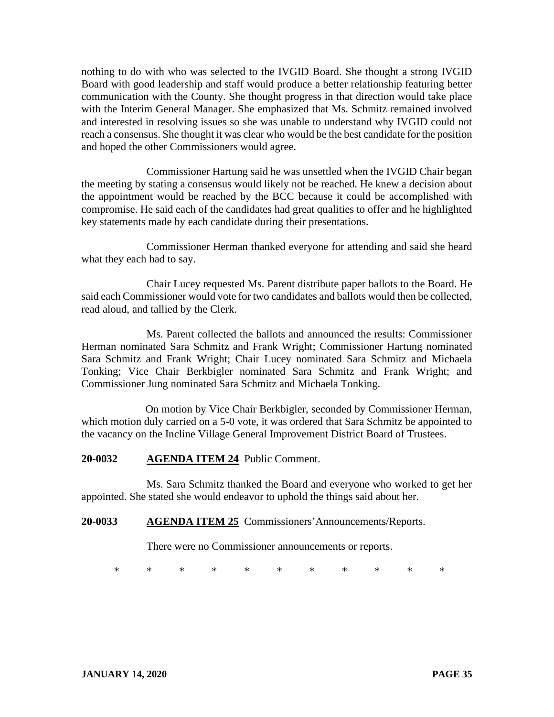nothing to do with who was selected to the IVGID Board. She thought a strong IVGID Board with good leadership and staff would produce a better relationship featuring better communication with the County. She thought progress in that direction would take place with the Interim General Manager. She emphasized that Ms. Schmitz remained involved and interested in resolving issues so she was unable to understand why IVGID could not reach a consensus. She thought it was clear who would be the best candidate for the position and hoped the other Commissioners would agree.

Commissioner Hartung said he was unsettled when the IVGID Chair began the meeting by stating a consensus would likely not be reached. He knew a decision about the appointment would be reached by the BCC because it could be accomplished with compromise. He said each of the candidates had great qualities to offer and he highlighted key statements made by each candidate during their presentations.

Commissioner Herman thanked everyone for attending and said she heard what they each had to say.

Chair Lucey requested Ms. Parent distribute paper ballots to the Board. He said each Commissioner would vote for two candidates and ballots would then be collected, read aloud, and tallied by the Clerk.

Ms. Parent collected the ballots and announced the results: Commissioner Herman nominated Sara Schmitz and Frank Wright; Commissioner Hartung nominated Sara Schmitz and Frank Wright; Chair Lucey nominated Sara Schmitz and Michaela Tonking; Vice Chair Berkbigler nominated Sara Schmitz and Frank Wright; and Commissioner Jung nominated Sara Schmitz and Michaela Tonking.

On motion by Vice Chair Berkbigler, seconded by Commissioner Herman, which motion duly carried on a 5-0 vote, it was ordered that Sara Schmitz be appointed to the vacancy on the Incline Village General Improvement District Board of Trustees.

### **20-0032 AGENDA ITEM 24** Public Comment.

Ms. Sara Schmitz thanked the Board and everyone who worked to get her appointed. She stated she would endeavor to uphold the things said about her.

### **20-0033 AGENDA ITEM 25** Commissioners'Announcements/Reports.

There were no Commissioner announcements or reports.

\* \* \* \* \* \* \* \* \* \* \*